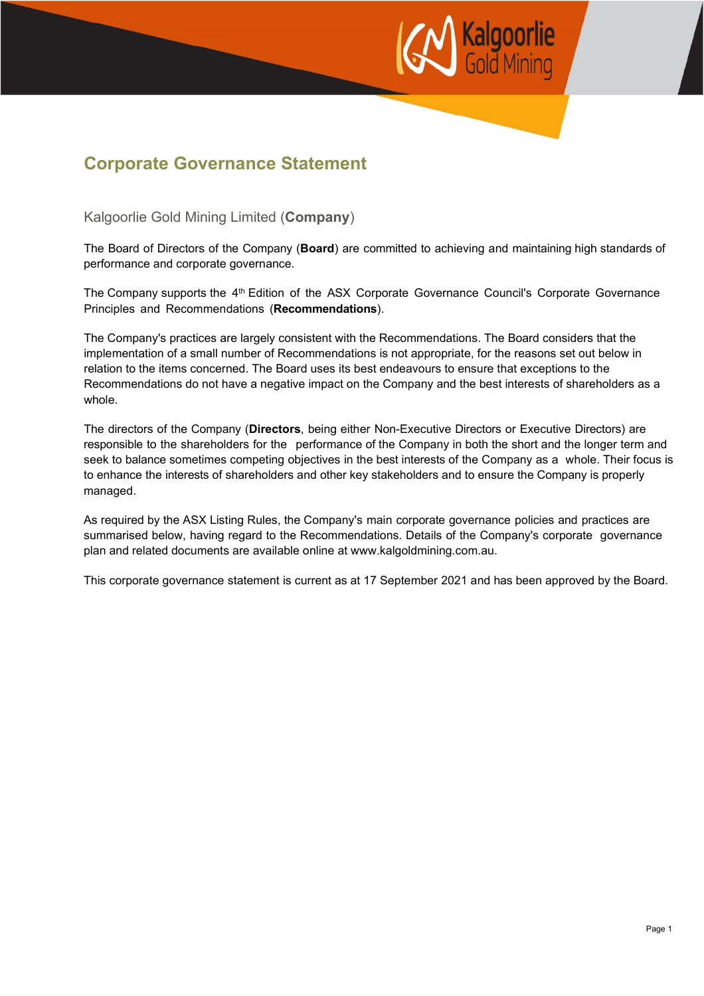

## **Corporate Governance Statement**

Kalgoorlie Gold Mining Limited (**Company**)

The Board of Directors of the Company (**Board**) are committed to achieving and maintaining high standards of performance and corporate governance.

The Company supports the 4<sup>th</sup> Edition of the ASX Corporate Governance Council's Corporate Governance Principles and Recommendations (**Recommendations**).

The Company's practices are largely consistent with the Recommendations. The Board considers that the implementation of a small number of Recommendations is not appropriate, for the reasons set out below in relation to the items concerned. The Board uses its best endeavours to ensure that exceptions to the Recommendations do not have a negative impact on the Company and the best interests of shareholders as a whole.

The directors of the Company (**Directors**, being either Non-Executive Directors or Executive Directors) are responsible to the shareholders for the performance of the Company in both the short and the longer term and seek to balance sometimes competing objectives in the best interests of the Company as a whole. Their focus is to enhance the interests of shareholders and other key stakeholders and to ensure the Company is properly managed.

As required by the ASX Listing Rules, the Company's main corporate governance policies and practices are summarised below, having regard to the Recommendations. Details of the Company's corporate governance plan and related documents are available online at www.kalgoldmining.com.au.

This corporate governance statement is current as at 17 September 2021 and has been approved by the Board.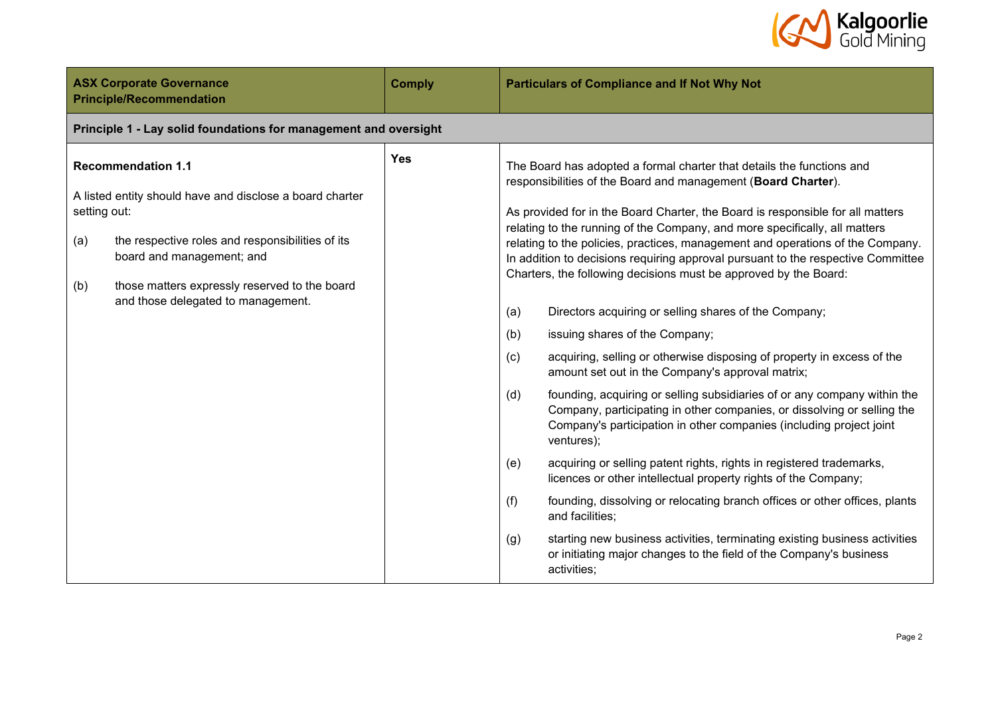

| <b>ASX Corporate Governance</b><br><b>Principle/Recommendation</b>                                                                                                                                                                                                                          | <b>Comply</b> | <b>Particulars of Compliance and If Not Why Not</b>                                                                                                                                                                                                                                                                                                                                                                                                                                                                                                                                                                                                                                                                                                                                                                                                                                                                                                                                                                                                                                                                                                                                                                                                                                                                                                                                                                                                                                  |  |  |
|---------------------------------------------------------------------------------------------------------------------------------------------------------------------------------------------------------------------------------------------------------------------------------------------|---------------|--------------------------------------------------------------------------------------------------------------------------------------------------------------------------------------------------------------------------------------------------------------------------------------------------------------------------------------------------------------------------------------------------------------------------------------------------------------------------------------------------------------------------------------------------------------------------------------------------------------------------------------------------------------------------------------------------------------------------------------------------------------------------------------------------------------------------------------------------------------------------------------------------------------------------------------------------------------------------------------------------------------------------------------------------------------------------------------------------------------------------------------------------------------------------------------------------------------------------------------------------------------------------------------------------------------------------------------------------------------------------------------------------------------------------------------------------------------------------------------|--|--|
| Principle 1 - Lay solid foundations for management and oversight                                                                                                                                                                                                                            |               |                                                                                                                                                                                                                                                                                                                                                                                                                                                                                                                                                                                                                                                                                                                                                                                                                                                                                                                                                                                                                                                                                                                                                                                                                                                                                                                                                                                                                                                                                      |  |  |
| <b>Recommendation 1.1</b><br>A listed entity should have and disclose a board charter<br>setting out:<br>the respective roles and responsibilities of its<br>(a)<br>board and management; and<br>those matters expressly reserved to the board<br>(b)<br>and those delegated to management. | <b>Yes</b>    | The Board has adopted a formal charter that details the functions and<br>responsibilities of the Board and management (Board Charter).<br>As provided for in the Board Charter, the Board is responsible for all matters<br>relating to the running of the Company, and more specifically, all matters<br>relating to the policies, practices, management and operations of the Company.<br>In addition to decisions requiring approval pursuant to the respective Committee<br>Charters, the following decisions must be approved by the Board:<br>(a)<br>Directors acquiring or selling shares of the Company;<br>issuing shares of the Company;<br>(b)<br>acquiring, selling or otherwise disposing of property in excess of the<br>(c)<br>amount set out in the Company's approval matrix;<br>(d)<br>founding, acquiring or selling subsidiaries of or any company within the<br>Company, participating in other companies, or dissolving or selling the<br>Company's participation in other companies (including project joint<br>ventures);<br>(e)<br>acquiring or selling patent rights, rights in registered trademarks,<br>licences or other intellectual property rights of the Company;<br>(f)<br>founding, dissolving or relocating branch offices or other offices, plants<br>and facilities;<br>starting new business activities, terminating existing business activities<br>(g)<br>or initiating major changes to the field of the Company's business<br>activities; |  |  |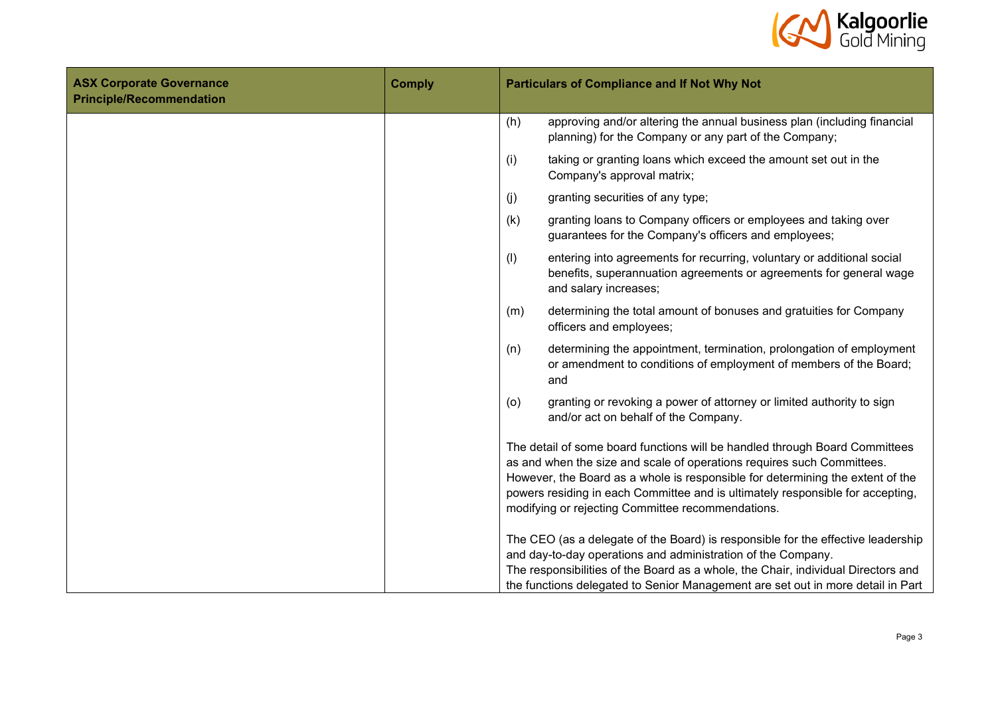

| <b>ASX Corporate Governance</b><br><b>Principle/Recommendation</b> | <b>Comply</b> | <b>Particulars of Compliance and If Not Why Not</b>                                                                                                                                                                                                                                                                                                                            |
|--------------------------------------------------------------------|---------------|--------------------------------------------------------------------------------------------------------------------------------------------------------------------------------------------------------------------------------------------------------------------------------------------------------------------------------------------------------------------------------|
|                                                                    |               | (h)<br>approving and/or altering the annual business plan (including financial<br>planning) for the Company or any part of the Company;                                                                                                                                                                                                                                        |
|                                                                    |               | (i)<br>taking or granting loans which exceed the amount set out in the<br>Company's approval matrix;                                                                                                                                                                                                                                                                           |
|                                                                    |               | (j)<br>granting securities of any type;                                                                                                                                                                                                                                                                                                                                        |
|                                                                    |               | (k)<br>granting loans to Company officers or employees and taking over<br>guarantees for the Company's officers and employees;                                                                                                                                                                                                                                                 |
|                                                                    |               | (1)<br>entering into agreements for recurring, voluntary or additional social<br>benefits, superannuation agreements or agreements for general wage<br>and salary increases;                                                                                                                                                                                                   |
|                                                                    |               | determining the total amount of bonuses and gratuities for Company<br>(m)<br>officers and employees;                                                                                                                                                                                                                                                                           |
|                                                                    |               | determining the appointment, termination, prolongation of employment<br>(n)<br>or amendment to conditions of employment of members of the Board;<br>and                                                                                                                                                                                                                        |
|                                                                    |               | granting or revoking a power of attorney or limited authority to sign<br>(o)<br>and/or act on behalf of the Company.                                                                                                                                                                                                                                                           |
|                                                                    |               | The detail of some board functions will be handled through Board Committees<br>as and when the size and scale of operations requires such Committees.<br>However, the Board as a whole is responsible for determining the extent of the<br>powers residing in each Committee and is ultimately responsible for accepting,<br>modifying or rejecting Committee recommendations. |
|                                                                    |               | The CEO (as a delegate of the Board) is responsible for the effective leadership<br>and day-to-day operations and administration of the Company.<br>The responsibilities of the Board as a whole, the Chair, individual Directors and<br>the functions delegated to Senior Management are set out in more detail in Part                                                       |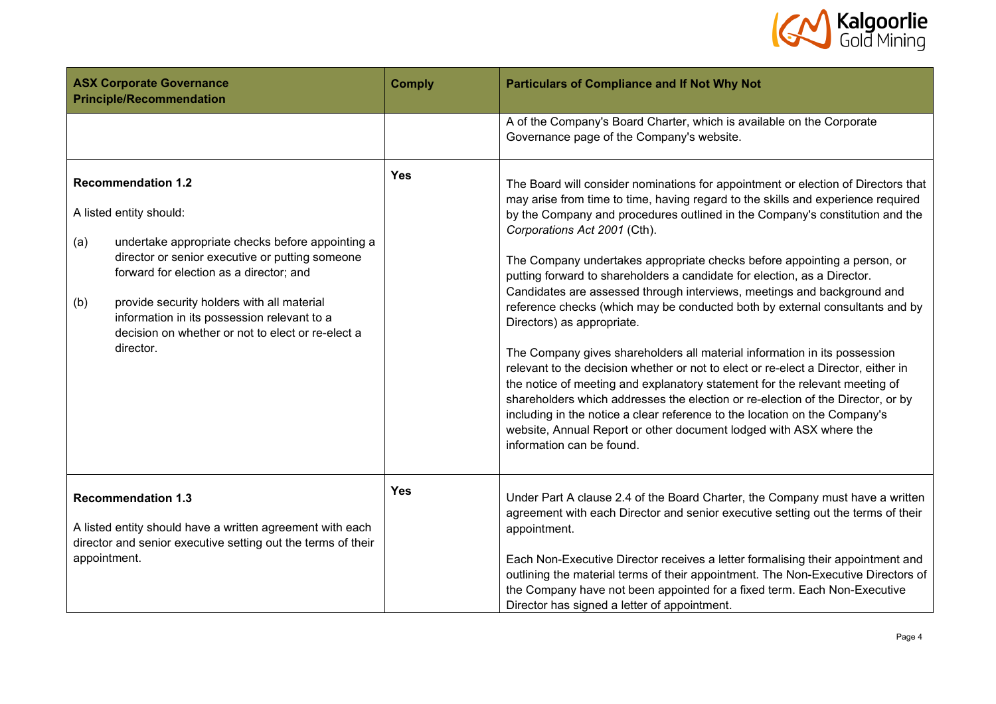

| <b>ASX Corporate Governance</b><br><b>Principle/Recommendation</b> |                                                                                                                                                                                                                                                                                                                                                                       | <b>Comply</b> | <b>Particulars of Compliance and If Not Why Not</b>                                                                                                                                                                                                                                                                                                                                                                                                                                                                                                                                                                                                                                                                                                                                                                                                                                                                                                                                                                                                                                                                                                          |  |  |
|--------------------------------------------------------------------|-----------------------------------------------------------------------------------------------------------------------------------------------------------------------------------------------------------------------------------------------------------------------------------------------------------------------------------------------------------------------|---------------|--------------------------------------------------------------------------------------------------------------------------------------------------------------------------------------------------------------------------------------------------------------------------------------------------------------------------------------------------------------------------------------------------------------------------------------------------------------------------------------------------------------------------------------------------------------------------------------------------------------------------------------------------------------------------------------------------------------------------------------------------------------------------------------------------------------------------------------------------------------------------------------------------------------------------------------------------------------------------------------------------------------------------------------------------------------------------------------------------------------------------------------------------------------|--|--|
|                                                                    |                                                                                                                                                                                                                                                                                                                                                                       |               | A of the Company's Board Charter, which is available on the Corporate<br>Governance page of the Company's website.                                                                                                                                                                                                                                                                                                                                                                                                                                                                                                                                                                                                                                                                                                                                                                                                                                                                                                                                                                                                                                           |  |  |
| (a)<br>(b)                                                         | <b>Recommendation 1.2</b><br>A listed entity should:<br>undertake appropriate checks before appointing a<br>director or senior executive or putting someone<br>forward for election as a director; and<br>provide security holders with all material<br>information in its possession relevant to a<br>decision on whether or not to elect or re-elect a<br>director. | <b>Yes</b>    | The Board will consider nominations for appointment or election of Directors that<br>may arise from time to time, having regard to the skills and experience required<br>by the Company and procedures outlined in the Company's constitution and the<br>Corporations Act 2001 (Cth).<br>The Company undertakes appropriate checks before appointing a person, or<br>putting forward to shareholders a candidate for election, as a Director.<br>Candidates are assessed through interviews, meetings and background and<br>reference checks (which may be conducted both by external consultants and by<br>Directors) as appropriate.<br>The Company gives shareholders all material information in its possession<br>relevant to the decision whether or not to elect or re-elect a Director, either in<br>the notice of meeting and explanatory statement for the relevant meeting of<br>shareholders which addresses the election or re-election of the Director, or by<br>including in the notice a clear reference to the location on the Company's<br>website, Annual Report or other document lodged with ASX where the<br>information can be found. |  |  |
|                                                                    | <b>Recommendation 1.3</b><br>A listed entity should have a written agreement with each<br>director and senior executive setting out the terms of their<br>appointment.                                                                                                                                                                                                | <b>Yes</b>    | Under Part A clause 2.4 of the Board Charter, the Company must have a written<br>agreement with each Director and senior executive setting out the terms of their<br>appointment.<br>Each Non-Executive Director receives a letter formalising their appointment and<br>outlining the material terms of their appointment. The Non-Executive Directors of<br>the Company have not been appointed for a fixed term. Each Non-Executive<br>Director has signed a letter of appointment.                                                                                                                                                                                                                                                                                                                                                                                                                                                                                                                                                                                                                                                                        |  |  |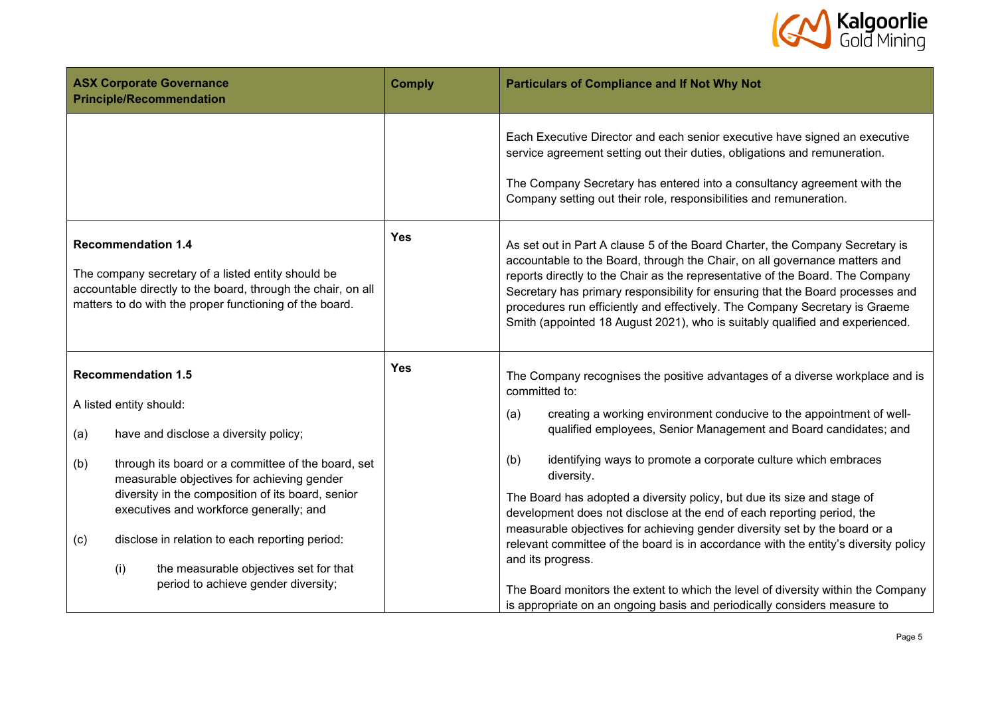

|                                                                                                                                                                                                            | <b>ASX Corporate Governance</b><br><b>Principle/Recommendation</b>                                                                                                                                                                                                                                  | <b>Comply</b> | <b>Particulars of Compliance and If Not Why Not</b>                                                                                                                                                                                                                                                                                                                                                                                                                                          |  |  |  |
|------------------------------------------------------------------------------------------------------------------------------------------------------------------------------------------------------------|-----------------------------------------------------------------------------------------------------------------------------------------------------------------------------------------------------------------------------------------------------------------------------------------------------|---------------|----------------------------------------------------------------------------------------------------------------------------------------------------------------------------------------------------------------------------------------------------------------------------------------------------------------------------------------------------------------------------------------------------------------------------------------------------------------------------------------------|--|--|--|
|                                                                                                                                                                                                            |                                                                                                                                                                                                                                                                                                     |               | Each Executive Director and each senior executive have signed an executive<br>service agreement setting out their duties, obligations and remuneration.<br>The Company Secretary has entered into a consultancy agreement with the<br>Company setting out their role, responsibilities and remuneration.                                                                                                                                                                                     |  |  |  |
| <b>Recommendation 1.4</b><br>The company secretary of a listed entity should be<br>accountable directly to the board, through the chair, on all<br>matters to do with the proper functioning of the board. |                                                                                                                                                                                                                                                                                                     | <b>Yes</b>    | As set out in Part A clause 5 of the Board Charter, the Company Secretary is<br>accountable to the Board, through the Chair, on all governance matters and<br>reports directly to the Chair as the representative of the Board. The Company<br>Secretary has primary responsibility for ensuring that the Board processes and<br>procedures run efficiently and effectively. The Company Secretary is Graeme<br>Smith (appointed 18 August 2021), who is suitably qualified and experienced. |  |  |  |
| <b>Recommendation 1.5</b><br>A listed entity should:<br>have and disclose a diversity policy;<br>(a)                                                                                                       |                                                                                                                                                                                                                                                                                                     | <b>Yes</b>    | The Company recognises the positive advantages of a diverse workplace and is<br>committed to:<br>creating a working environment conducive to the appointment of well-<br>(a)<br>qualified employees, Senior Management and Board candidates; and                                                                                                                                                                                                                                             |  |  |  |
| (b)<br>(c)                                                                                                                                                                                                 | through its board or a committee of the board, set<br>measurable objectives for achieving gender<br>diversity in the composition of its board, senior<br>executives and workforce generally; and<br>disclose in relation to each reporting period:<br>(i)<br>the measurable objectives set for that |               | identifying ways to promote a corporate culture which embraces<br>(b)<br>diversity.<br>The Board has adopted a diversity policy, but due its size and stage of<br>development does not disclose at the end of each reporting period, the<br>measurable objectives for achieving gender diversity set by the board or a<br>relevant committee of the board is in accordance with the entity's diversity policy<br>and its progress.                                                           |  |  |  |
|                                                                                                                                                                                                            | period to achieve gender diversity;                                                                                                                                                                                                                                                                 |               | The Board monitors the extent to which the level of diversity within the Company<br>is appropriate on an ongoing basis and periodically considers measure to                                                                                                                                                                                                                                                                                                                                 |  |  |  |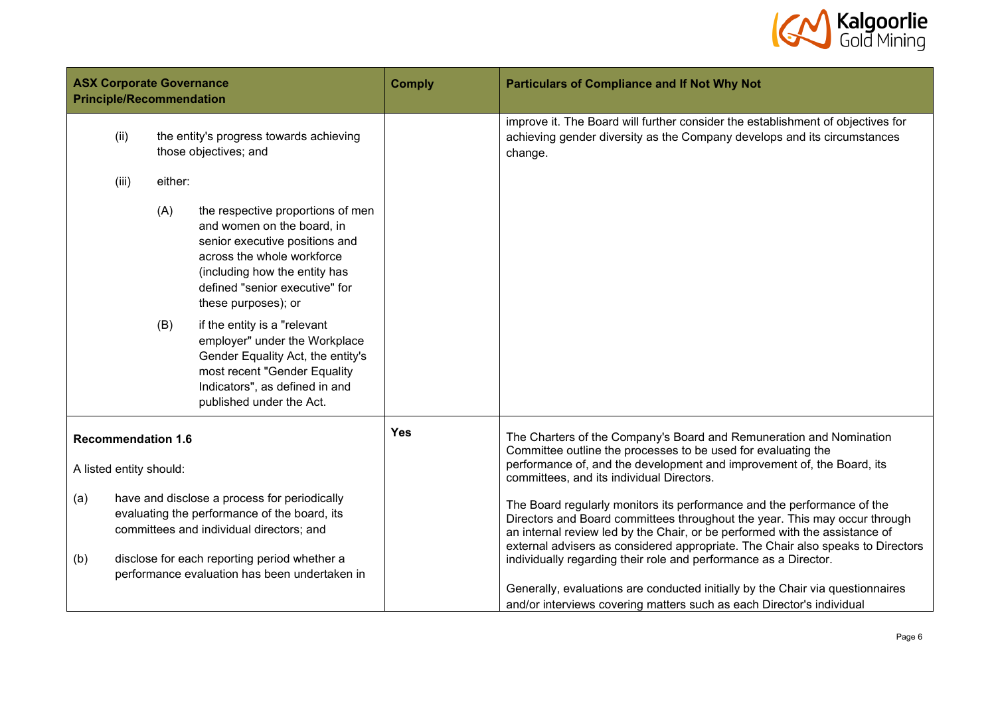

| <b>ASX Corporate Governance</b><br><b>Principle/Recommendation</b> |       | <b>Comply</b> | <b>Particulars of Compliance and If Not Why Not</b>                                                                                                                                                                                                                                                                                                                                                                           |  |                                                                                                                                                                                                                                                                                                                         |
|--------------------------------------------------------------------|-------|---------------|-------------------------------------------------------------------------------------------------------------------------------------------------------------------------------------------------------------------------------------------------------------------------------------------------------------------------------------------------------------------------------------------------------------------------------|--|-------------------------------------------------------------------------------------------------------------------------------------------------------------------------------------------------------------------------------------------------------------------------------------------------------------------------|
|                                                                    | (ii)  |               | the entity's progress towards achieving<br>those objectives; and                                                                                                                                                                                                                                                                                                                                                              |  | improve it. The Board will further consider the establishment of objectives for<br>achieving gender diversity as the Company develops and its circumstances<br>change.                                                                                                                                                  |
|                                                                    | (iii) | either:       |                                                                                                                                                                                                                                                                                                                                                                                                                               |  |                                                                                                                                                                                                                                                                                                                         |
|                                                                    |       | (A)<br>(B)    | the respective proportions of men<br>and women on the board, in<br>senior executive positions and<br>across the whole workforce<br>(including how the entity has<br>defined "senior executive" for<br>these purposes); or<br>if the entity is a "relevant<br>employer" under the Workplace<br>Gender Equality Act, the entity's<br>most recent "Gender Equality<br>Indicators", as defined in and<br>published under the Act. |  |                                                                                                                                                                                                                                                                                                                         |
| <b>Recommendation 1.6</b><br>A listed entity should:               |       | <b>Yes</b>    | The Charters of the Company's Board and Remuneration and Nomination<br>Committee outline the processes to be used for evaluating the<br>performance of, and the development and improvement of, the Board, its<br>committees, and its individual Directors.                                                                                                                                                                   |  |                                                                                                                                                                                                                                                                                                                         |
| (a)                                                                |       |               | have and disclose a process for periodically<br>evaluating the performance of the board, its<br>committees and individual directors; and<br>disclose for each reporting period whether a                                                                                                                                                                                                                                      |  | The Board regularly monitors its performance and the performance of the<br>Directors and Board committees throughout the year. This may occur through<br>an internal review led by the Chair, or be performed with the assistance of<br>external advisers as considered appropriate. The Chair also speaks to Directors |
| (b)                                                                |       |               | performance evaluation has been undertaken in                                                                                                                                                                                                                                                                                                                                                                                 |  | individually regarding their role and performance as a Director.<br>Generally, evaluations are conducted initially by the Chair via questionnaires<br>and/or interviews covering matters such as each Director's individual                                                                                             |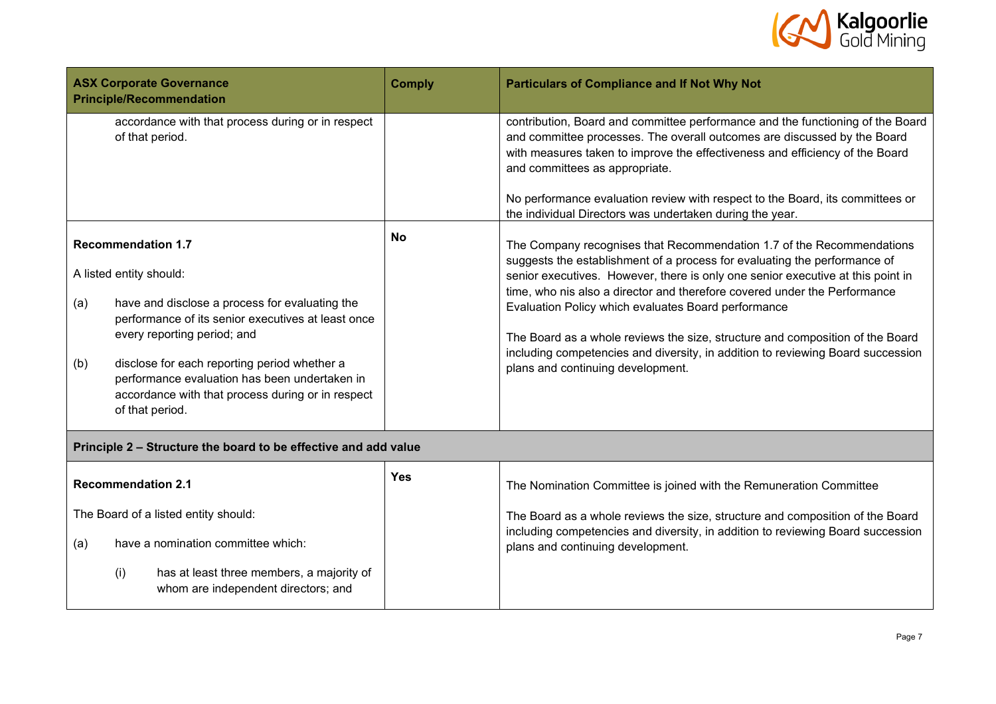

|     | <b>ASX Corporate Governance</b><br><b>Principle/Recommendation</b>                                                                                                    | <b>Comply</b> | <b>Particulars of Compliance and If Not Why Not</b>                                                                                                                                                                                                                          |
|-----|-----------------------------------------------------------------------------------------------------------------------------------------------------------------------|---------------|------------------------------------------------------------------------------------------------------------------------------------------------------------------------------------------------------------------------------------------------------------------------------|
|     | accordance with that process during or in respect<br>of that period.                                                                                                  |               | contribution, Board and committee performance and the functioning of the Board<br>and committee processes. The overall outcomes are discussed by the Board<br>with measures taken to improve the effectiveness and efficiency of the Board<br>and committees as appropriate. |
|     |                                                                                                                                                                       |               | No performance evaluation review with respect to the Board, its committees or<br>the individual Directors was undertaken during the year.                                                                                                                                    |
|     | <b>Recommendation 1.7</b>                                                                                                                                             | <b>No</b>     | The Company recognises that Recommendation 1.7 of the Recommendations                                                                                                                                                                                                        |
|     | A listed entity should:                                                                                                                                               |               | suggests the establishment of a process for evaluating the performance of<br>senior executives. However, there is only one senior executive at this point in<br>time, who nis also a director and therefore covered under the Performance                                    |
| (a) | have and disclose a process for evaluating the<br>performance of its senior executives at least once<br>every reporting period; and                                   |               | Evaluation Policy which evaluates Board performance<br>The Board as a whole reviews the size, structure and composition of the Board                                                                                                                                         |
| (b) | disclose for each reporting period whether a<br>performance evaluation has been undertaken in<br>accordance with that process during or in respect<br>of that period. |               | including competencies and diversity, in addition to reviewing Board succession<br>plans and continuing development.                                                                                                                                                         |
|     | Principle 2 - Structure the board to be effective and add value                                                                                                       |               |                                                                                                                                                                                                                                                                              |
|     | <b>Recommendation 2.1</b>                                                                                                                                             | <b>Yes</b>    | The Nomination Committee is joined with the Remuneration Committee                                                                                                                                                                                                           |
|     | The Board of a listed entity should:                                                                                                                                  |               | The Board as a whole reviews the size, structure and composition of the Board<br>including competencies and diversity, in addition to reviewing Board succession                                                                                                             |
| (a) | have a nomination committee which:                                                                                                                                    |               | plans and continuing development.                                                                                                                                                                                                                                            |
|     | has at least three members, a majority of<br>(i)<br>whom are independent directors; and                                                                               |               |                                                                                                                                                                                                                                                                              |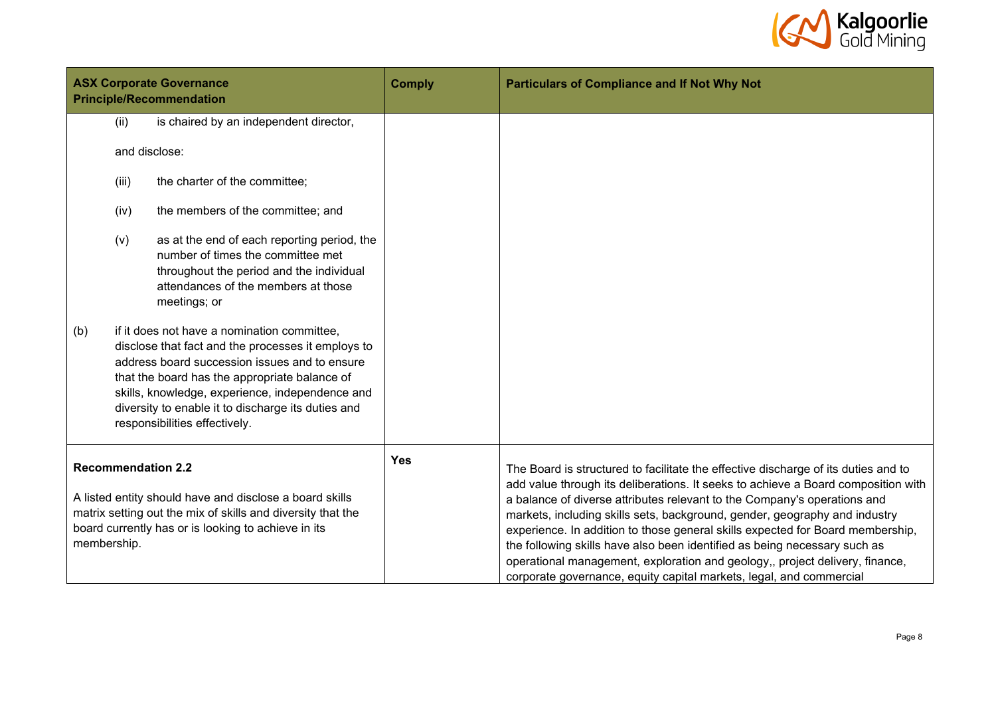

| <b>ASX Corporate Governance</b><br><b>Principle/Recommendation</b> |             |                                                                                                                                                                                                                                                                                                                                                                                                                                                                                                                                      | <b>Comply</b> | <b>Particulars of Compliance and If Not Why Not</b>                                                                                                                                                                                                                                                                                                                                                                                                                                                                                                                                                                                                     |
|--------------------------------------------------------------------|-------------|--------------------------------------------------------------------------------------------------------------------------------------------------------------------------------------------------------------------------------------------------------------------------------------------------------------------------------------------------------------------------------------------------------------------------------------------------------------------------------------------------------------------------------------|---------------|---------------------------------------------------------------------------------------------------------------------------------------------------------------------------------------------------------------------------------------------------------------------------------------------------------------------------------------------------------------------------------------------------------------------------------------------------------------------------------------------------------------------------------------------------------------------------------------------------------------------------------------------------------|
|                                                                    | (ii)        | is chaired by an independent director,                                                                                                                                                                                                                                                                                                                                                                                                                                                                                               |               |                                                                                                                                                                                                                                                                                                                                                                                                                                                                                                                                                                                                                                                         |
|                                                                    |             | and disclose:                                                                                                                                                                                                                                                                                                                                                                                                                                                                                                                        |               |                                                                                                                                                                                                                                                                                                                                                                                                                                                                                                                                                                                                                                                         |
|                                                                    | (iii)       | the charter of the committee;                                                                                                                                                                                                                                                                                                                                                                                                                                                                                                        |               |                                                                                                                                                                                                                                                                                                                                                                                                                                                                                                                                                                                                                                                         |
|                                                                    | (iv)        | the members of the committee; and                                                                                                                                                                                                                                                                                                                                                                                                                                                                                                    |               |                                                                                                                                                                                                                                                                                                                                                                                                                                                                                                                                                                                                                                                         |
| (b)                                                                | (v)         | as at the end of each reporting period, the<br>number of times the committee met<br>throughout the period and the individual<br>attendances of the members at those<br>meetings; or<br>if it does not have a nomination committee,<br>disclose that fact and the processes it employs to<br>address board succession issues and to ensure<br>that the board has the appropriate balance of<br>skills, knowledge, experience, independence and<br>diversity to enable it to discharge its duties and<br>responsibilities effectively. |               |                                                                                                                                                                                                                                                                                                                                                                                                                                                                                                                                                                                                                                                         |
|                                                                    | membership. | <b>Recommendation 2.2</b><br>A listed entity should have and disclose a board skills<br>matrix setting out the mix of skills and diversity that the<br>board currently has or is looking to achieve in its                                                                                                                                                                                                                                                                                                                           | <b>Yes</b>    | The Board is structured to facilitate the effective discharge of its duties and to<br>add value through its deliberations. It seeks to achieve a Board composition with<br>a balance of diverse attributes relevant to the Company's operations and<br>markets, including skills sets, background, gender, geography and industry<br>experience. In addition to those general skills expected for Board membership,<br>the following skills have also been identified as being necessary such as<br>operational management, exploration and geology,, project delivery, finance,<br>corporate governance, equity capital markets, legal, and commercial |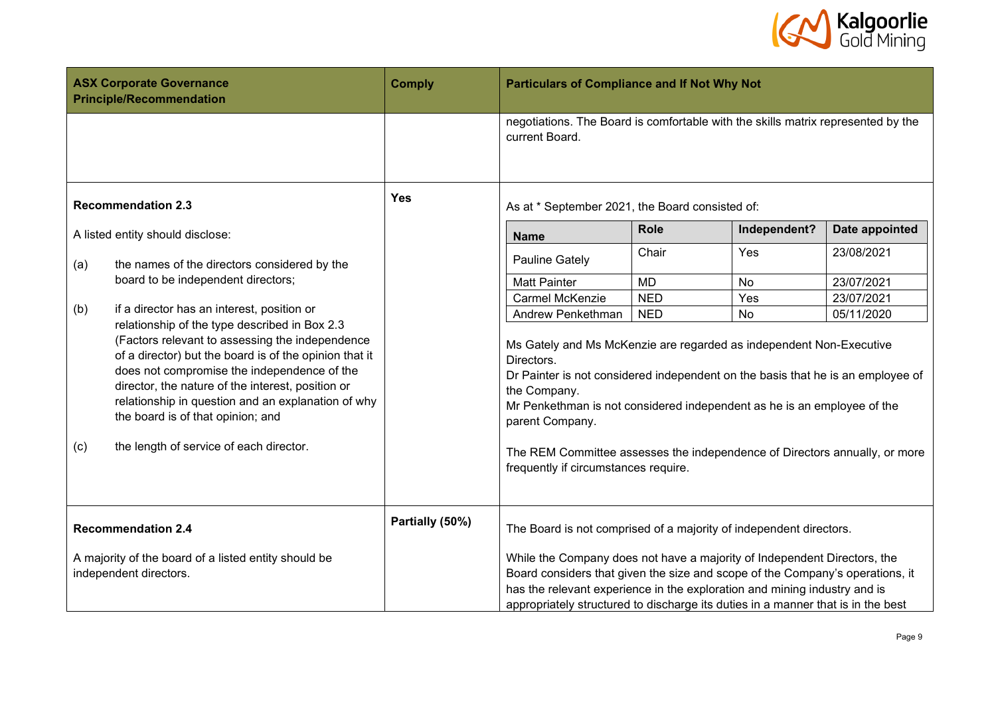

|     | <b>ASX Corporate Governance</b><br><b>Principle/Recommendation</b>                                                                                                                                                                                                                                       | <b>Comply</b>   | <b>Particulars of Compliance and If Not Why Not</b>                                                                                                                                                                                                                                                                        |            |              |                |
|-----|----------------------------------------------------------------------------------------------------------------------------------------------------------------------------------------------------------------------------------------------------------------------------------------------------------|-----------------|----------------------------------------------------------------------------------------------------------------------------------------------------------------------------------------------------------------------------------------------------------------------------------------------------------------------------|------------|--------------|----------------|
|     |                                                                                                                                                                                                                                                                                                          |                 | negotiations. The Board is comfortable with the skills matrix represented by the<br>current Board.                                                                                                                                                                                                                         |            |              |                |
|     | <b>Recommendation 2.3</b>                                                                                                                                                                                                                                                                                | <b>Yes</b>      | As at * September 2021, the Board consisted of:                                                                                                                                                                                                                                                                            |            |              |                |
|     | A listed entity should disclose:                                                                                                                                                                                                                                                                         |                 | <b>Name</b>                                                                                                                                                                                                                                                                                                                | Role       | Independent? | Date appointed |
| (a) | the names of the directors considered by the                                                                                                                                                                                                                                                             |                 | Pauline Gately                                                                                                                                                                                                                                                                                                             | Chair      | Yes          | 23/08/2021     |
|     | board to be independent directors;                                                                                                                                                                                                                                                                       |                 | <b>Matt Painter</b>                                                                                                                                                                                                                                                                                                        | <b>MD</b>  | No           | 23/07/2021     |
|     | if a director has an interest, position or                                                                                                                                                                                                                                                               |                 | Carmel McKenzie                                                                                                                                                                                                                                                                                                            | <b>NED</b> | Yes          | 23/07/2021     |
| (b) | relationship of the type described in Box 2.3                                                                                                                                                                                                                                                            |                 | Andrew Penkethman                                                                                                                                                                                                                                                                                                          | <b>NED</b> | <b>No</b>    | 05/11/2020     |
|     | (Factors relevant to assessing the independence<br>of a director) but the board is of the opinion that it<br>does not compromise the independence of the<br>director, the nature of the interest, position or<br>relationship in question and an explanation of why<br>the board is of that opinion; and |                 | Ms Gately and Ms McKenzie are regarded as independent Non-Executive<br>Directors.<br>Dr Painter is not considered independent on the basis that he is an employee of<br>the Company.<br>Mr Penkethman is not considered independent as he is an employee of the<br>parent Company.                                         |            |              |                |
| (c) | the length of service of each director.                                                                                                                                                                                                                                                                  |                 | The REM Committee assesses the independence of Directors annually, or more<br>frequently if circumstances require.                                                                                                                                                                                                         |            |              |                |
|     | <b>Recommendation 2.4</b>                                                                                                                                                                                                                                                                                | Partially (50%) | The Board is not comprised of a majority of independent directors.                                                                                                                                                                                                                                                         |            |              |                |
|     | A majority of the board of a listed entity should be<br>independent directors.                                                                                                                                                                                                                           |                 | While the Company does not have a majority of Independent Directors, the<br>Board considers that given the size and scope of the Company's operations, it<br>has the relevant experience in the exploration and mining industry and is<br>appropriately structured to discharge its duties in a manner that is in the best |            |              |                |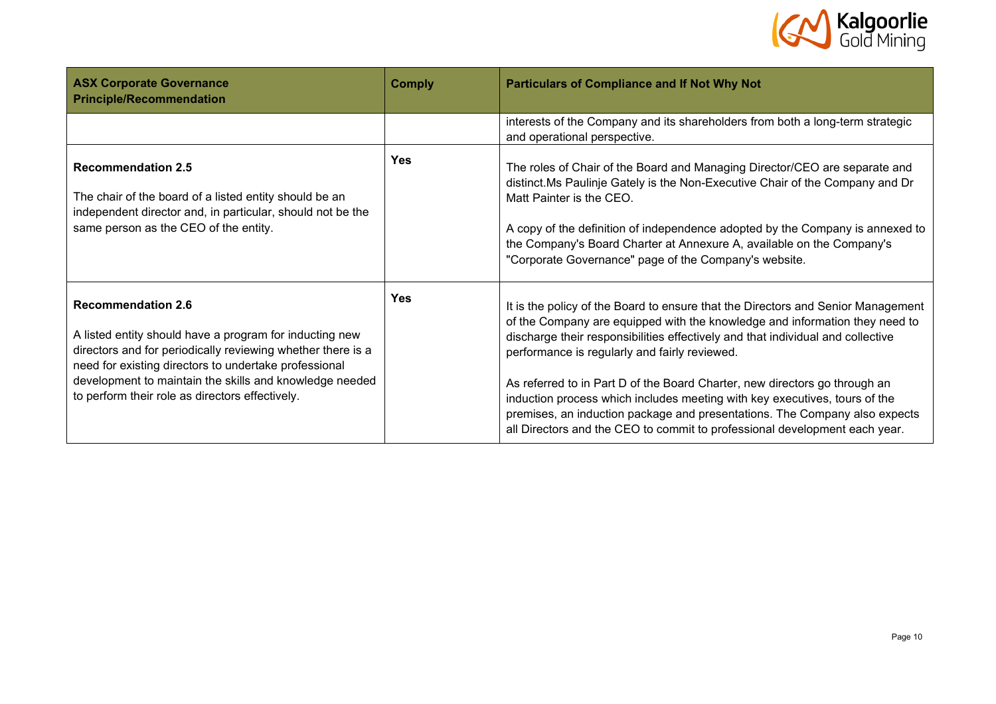

| <b>ASX Corporate Governance</b><br><b>Principle/Recommendation</b>                                                                                                                                                                                                                                                         | <b>Comply</b> | <b>Particulars of Compliance and If Not Why Not</b>                                                                                                                                                                                                                                                                                                                                                                                                                                                                                                                                                                         |
|----------------------------------------------------------------------------------------------------------------------------------------------------------------------------------------------------------------------------------------------------------------------------------------------------------------------------|---------------|-----------------------------------------------------------------------------------------------------------------------------------------------------------------------------------------------------------------------------------------------------------------------------------------------------------------------------------------------------------------------------------------------------------------------------------------------------------------------------------------------------------------------------------------------------------------------------------------------------------------------------|
|                                                                                                                                                                                                                                                                                                                            |               | interests of the Company and its shareholders from both a long-term strategic<br>and operational perspective.                                                                                                                                                                                                                                                                                                                                                                                                                                                                                                               |
| <b>Recommendation 2.5</b><br>The chair of the board of a listed entity should be an<br>independent director and, in particular, should not be the<br>same person as the CEO of the entity.                                                                                                                                 | <b>Yes</b>    | The roles of Chair of the Board and Managing Director/CEO are separate and<br>distinct. Ms Paulinje Gately is the Non-Executive Chair of the Company and Dr<br>Matt Painter is the CEO.<br>A copy of the definition of independence adopted by the Company is annexed to<br>the Company's Board Charter at Annexure A, available on the Company's<br>"Corporate Governance" page of the Company's website.                                                                                                                                                                                                                  |
| <b>Recommendation 2.6</b><br>A listed entity should have a program for inducting new<br>directors and for periodically reviewing whether there is a<br>need for existing directors to undertake professional<br>development to maintain the skills and knowledge needed<br>to perform their role as directors effectively. | <b>Yes</b>    | It is the policy of the Board to ensure that the Directors and Senior Management<br>of the Company are equipped with the knowledge and information they need to<br>discharge their responsibilities effectively and that individual and collective<br>performance is regularly and fairly reviewed.<br>As referred to in Part D of the Board Charter, new directors go through an<br>induction process which includes meeting with key executives, tours of the<br>premises, an induction package and presentations. The Company also expects<br>all Directors and the CEO to commit to professional development each year. |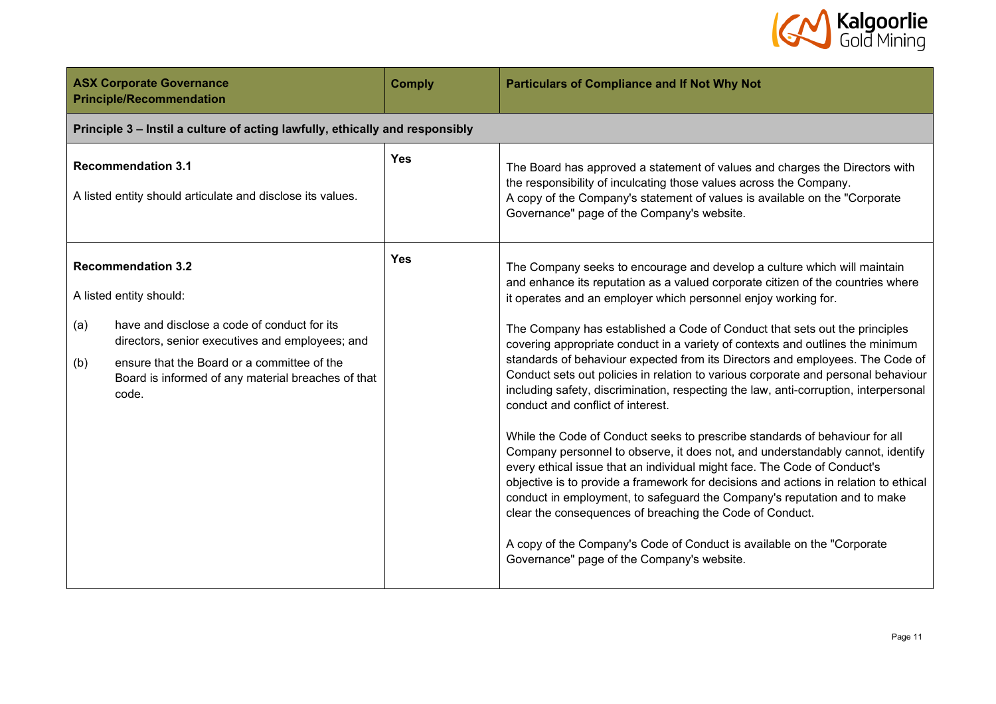

| <b>ASX Corporate Governance</b><br><b>Principle/Recommendation</b>                                                                                                                                                                                                                 | <b>Comply</b> | <b>Particulars of Compliance and If Not Why Not</b>                                                                                                                                                                                                                                                                                                                                                                                                                                                                                                                                                                                                                                                                                                                                                                                                                                                                                                                                                                                                                                                                                                                                                                                                                                                    |
|------------------------------------------------------------------------------------------------------------------------------------------------------------------------------------------------------------------------------------------------------------------------------------|---------------|--------------------------------------------------------------------------------------------------------------------------------------------------------------------------------------------------------------------------------------------------------------------------------------------------------------------------------------------------------------------------------------------------------------------------------------------------------------------------------------------------------------------------------------------------------------------------------------------------------------------------------------------------------------------------------------------------------------------------------------------------------------------------------------------------------------------------------------------------------------------------------------------------------------------------------------------------------------------------------------------------------------------------------------------------------------------------------------------------------------------------------------------------------------------------------------------------------------------------------------------------------------------------------------------------------|
| Principle 3 - Instil a culture of acting lawfully, ethically and responsibly                                                                                                                                                                                                       |               |                                                                                                                                                                                                                                                                                                                                                                                                                                                                                                                                                                                                                                                                                                                                                                                                                                                                                                                                                                                                                                                                                                                                                                                                                                                                                                        |
| <b>Recommendation 3.1</b><br>A listed entity should articulate and disclose its values.                                                                                                                                                                                            | <b>Yes</b>    | The Board has approved a statement of values and charges the Directors with<br>the responsibility of inculcating those values across the Company.<br>A copy of the Company's statement of values is available on the "Corporate<br>Governance" page of the Company's website.                                                                                                                                                                                                                                                                                                                                                                                                                                                                                                                                                                                                                                                                                                                                                                                                                                                                                                                                                                                                                          |
| <b>Recommendation 3.2</b><br>A listed entity should:<br>have and disclose a code of conduct for its<br>(a)<br>directors, senior executives and employees; and<br>(b)<br>ensure that the Board or a committee of the<br>Board is informed of any material breaches of that<br>code. | <b>Yes</b>    | The Company seeks to encourage and develop a culture which will maintain<br>and enhance its reputation as a valued corporate citizen of the countries where<br>it operates and an employer which personnel enjoy working for.<br>The Company has established a Code of Conduct that sets out the principles<br>covering appropriate conduct in a variety of contexts and outlines the minimum<br>standards of behaviour expected from its Directors and employees. The Code of<br>Conduct sets out policies in relation to various corporate and personal behaviour<br>including safety, discrimination, respecting the law, anti-corruption, interpersonal<br>conduct and conflict of interest.<br>While the Code of Conduct seeks to prescribe standards of behaviour for all<br>Company personnel to observe, it does not, and understandably cannot, identify<br>every ethical issue that an individual might face. The Code of Conduct's<br>objective is to provide a framework for decisions and actions in relation to ethical<br>conduct in employment, to safeguard the Company's reputation and to make<br>clear the consequences of breaching the Code of Conduct.<br>A copy of the Company's Code of Conduct is available on the "Corporate"<br>Governance" page of the Company's website. |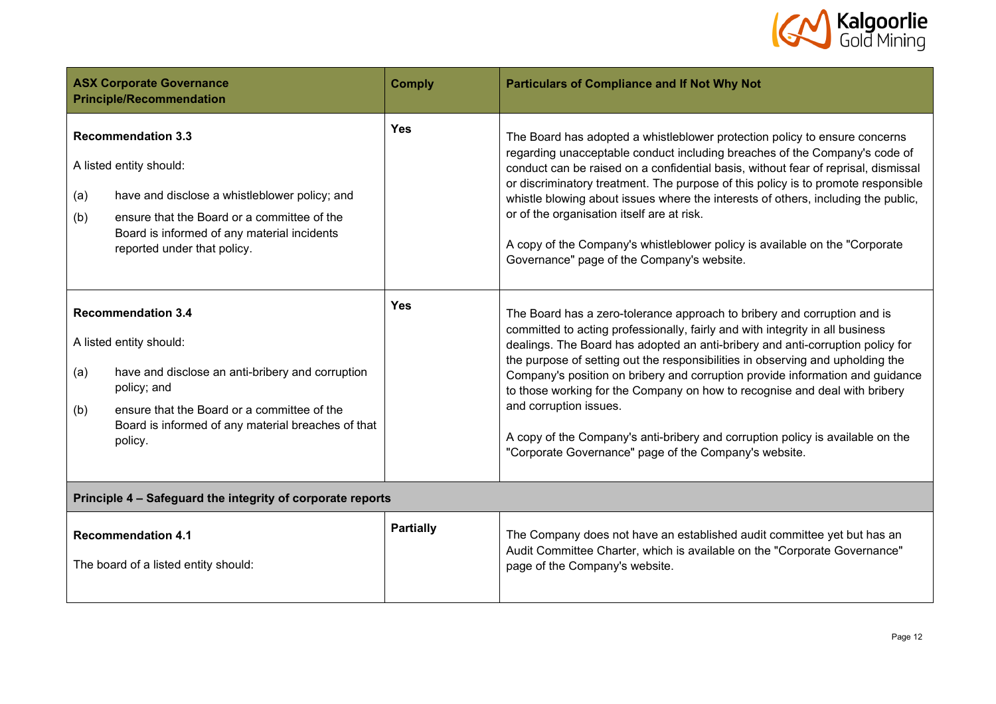

| <b>ASX Corporate Governance</b><br><b>Principle/Recommendation</b>                                                                                                                                                                                    | <b>Comply</b>    | <b>Particulars of Compliance and If Not Why Not</b>                                                                                                                                                                                                                                                                                                                                                                                                                                                                                                                                                                                                               |  |  |  |
|-------------------------------------------------------------------------------------------------------------------------------------------------------------------------------------------------------------------------------------------------------|------------------|-------------------------------------------------------------------------------------------------------------------------------------------------------------------------------------------------------------------------------------------------------------------------------------------------------------------------------------------------------------------------------------------------------------------------------------------------------------------------------------------------------------------------------------------------------------------------------------------------------------------------------------------------------------------|--|--|--|
| <b>Recommendation 3.3</b><br>A listed entity should:<br>have and disclose a whistleblower policy; and<br>(a)<br>ensure that the Board or a committee of the<br>(b)<br>Board is informed of any material incidents<br>reported under that policy.      | <b>Yes</b>       | The Board has adopted a whistleblower protection policy to ensure concerns<br>regarding unacceptable conduct including breaches of the Company's code of<br>conduct can be raised on a confidential basis, without fear of reprisal, dismissal<br>or discriminatory treatment. The purpose of this policy is to promote responsible<br>whistle blowing about issues where the interests of others, including the public,<br>or of the organisation itself are at risk.<br>A copy of the Company's whistleblower policy is available on the "Corporate"<br>Governance" page of the Company's website.                                                              |  |  |  |
| <b>Recommendation 3.4</b><br>A listed entity should:<br>have and disclose an anti-bribery and corruption<br>(a)<br>policy; and<br>ensure that the Board or a committee of the<br>(b)<br>Board is informed of any material breaches of that<br>policy. | <b>Yes</b>       | The Board has a zero-tolerance approach to bribery and corruption and is<br>committed to acting professionally, fairly and with integrity in all business<br>dealings. The Board has adopted an anti-bribery and anti-corruption policy for<br>the purpose of setting out the responsibilities in observing and upholding the<br>Company's position on bribery and corruption provide information and guidance<br>to those working for the Company on how to recognise and deal with bribery<br>and corruption issues.<br>A copy of the Company's anti-bribery and corruption policy is available on the<br>"Corporate Governance" page of the Company's website. |  |  |  |
| Principle 4 - Safeguard the integrity of corporate reports                                                                                                                                                                                            |                  |                                                                                                                                                                                                                                                                                                                                                                                                                                                                                                                                                                                                                                                                   |  |  |  |
| <b>Recommendation 4.1</b><br>The board of a listed entity should:                                                                                                                                                                                     | <b>Partially</b> | The Company does not have an established audit committee yet but has an<br>Audit Committee Charter, which is available on the "Corporate Governance"<br>page of the Company's website.                                                                                                                                                                                                                                                                                                                                                                                                                                                                            |  |  |  |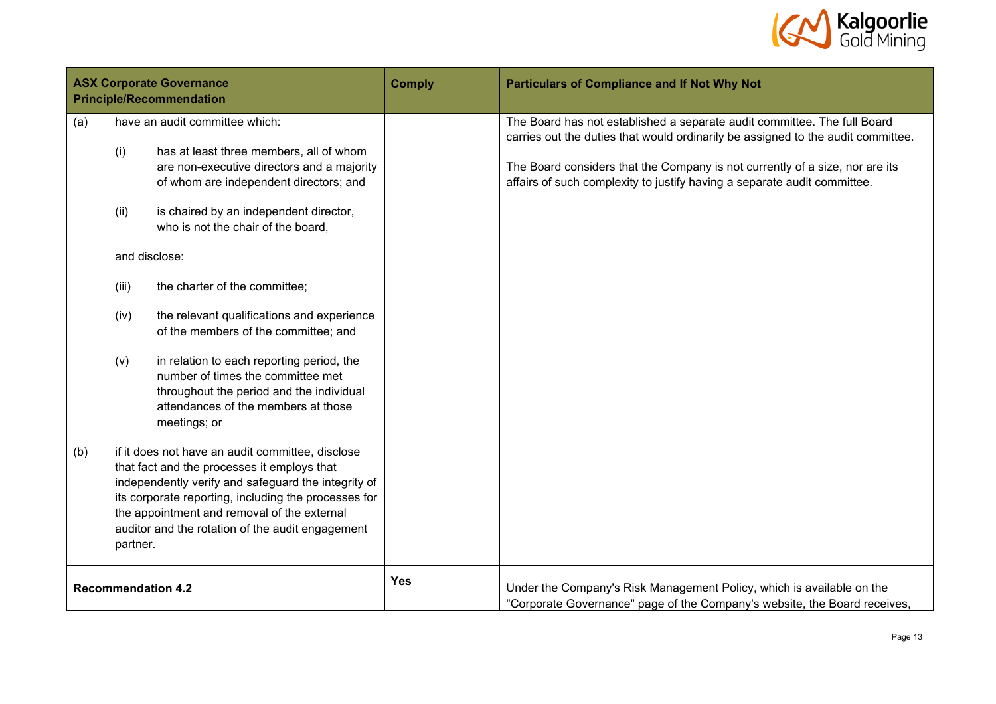

| <b>ASX Corporate Governance</b><br><b>Principle/Recommendation</b> |                                     |                                                                                                                                                                                                                                                                                                                                                                                                                                                                                                                                                                                                                                                                                                                                                                                                  | <b>Comply</b> | <b>Particulars of Compliance and If Not Why Not</b>                                                                                                                                                                                                                                                                      |
|--------------------------------------------------------------------|-------------------------------------|--------------------------------------------------------------------------------------------------------------------------------------------------------------------------------------------------------------------------------------------------------------------------------------------------------------------------------------------------------------------------------------------------------------------------------------------------------------------------------------------------------------------------------------------------------------------------------------------------------------------------------------------------------------------------------------------------------------------------------------------------------------------------------------------------|---------------|--------------------------------------------------------------------------------------------------------------------------------------------------------------------------------------------------------------------------------------------------------------------------------------------------------------------------|
| (a)<br>(b)                                                         | (i)<br>(ii)<br>(iii)<br>(iv)<br>(v) | have an audit committee which:<br>has at least three members, all of whom<br>are non-executive directors and a majority<br>of whom are independent directors; and<br>is chaired by an independent director,<br>who is not the chair of the board,<br>and disclose:<br>the charter of the committee;<br>the relevant qualifications and experience<br>of the members of the committee; and<br>in relation to each reporting period, the<br>number of times the committee met<br>throughout the period and the individual<br>attendances of the members at those<br>meetings; or<br>if it does not have an audit committee, disclose<br>that fact and the processes it employs that<br>independently verify and safeguard the integrity of<br>its corporate reporting, including the processes for |               | The Board has not established a separate audit committee. The full Board<br>carries out the duties that would ordinarily be assigned to the audit committee.<br>The Board considers that the Company is not currently of a size, nor are its<br>affairs of such complexity to justify having a separate audit committee. |
|                                                                    | partner.                            | the appointment and removal of the external<br>auditor and the rotation of the audit engagement<br><b>Recommendation 4.2</b>                                                                                                                                                                                                                                                                                                                                                                                                                                                                                                                                                                                                                                                                     | <b>Yes</b>    | Under the Company's Risk Management Policy, which is available on the                                                                                                                                                                                                                                                    |
|                                                                    |                                     |                                                                                                                                                                                                                                                                                                                                                                                                                                                                                                                                                                                                                                                                                                                                                                                                  |               | "Corporate Governance" page of the Company's website, the Board receives,                                                                                                                                                                                                                                                |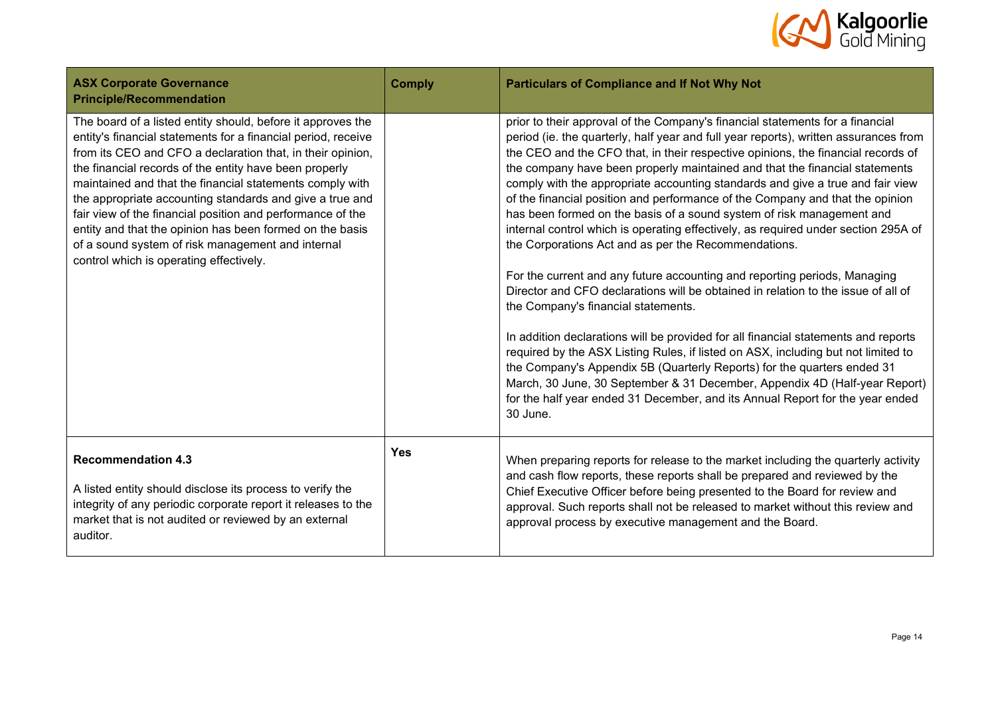

| <b>ASX Corporate Governance</b><br><b>Principle/Recommendation</b>                                                                                                                                                                                                                                                                                                                                                                                                                                                                                                                                     | <b>Comply</b> | <b>Particulars of Compliance and If Not Why Not</b>                                                                                                                                                                                                                                                                                                                                                                                                                                                                                                                                                                                                                                                                                                                                                                                                                                                                                                                                                                                                                                                                                                                                                                                                                                                                                                                          |
|--------------------------------------------------------------------------------------------------------------------------------------------------------------------------------------------------------------------------------------------------------------------------------------------------------------------------------------------------------------------------------------------------------------------------------------------------------------------------------------------------------------------------------------------------------------------------------------------------------|---------------|------------------------------------------------------------------------------------------------------------------------------------------------------------------------------------------------------------------------------------------------------------------------------------------------------------------------------------------------------------------------------------------------------------------------------------------------------------------------------------------------------------------------------------------------------------------------------------------------------------------------------------------------------------------------------------------------------------------------------------------------------------------------------------------------------------------------------------------------------------------------------------------------------------------------------------------------------------------------------------------------------------------------------------------------------------------------------------------------------------------------------------------------------------------------------------------------------------------------------------------------------------------------------------------------------------------------------------------------------------------------------|
| The board of a listed entity should, before it approves the<br>entity's financial statements for a financial period, receive<br>from its CEO and CFO a declaration that, in their opinion,<br>the financial records of the entity have been properly<br>maintained and that the financial statements comply with<br>the appropriate accounting standards and give a true and<br>fair view of the financial position and performance of the<br>entity and that the opinion has been formed on the basis<br>of a sound system of risk management and internal<br>control which is operating effectively. |               | prior to their approval of the Company's financial statements for a financial<br>period (ie. the quarterly, half year and full year reports), written assurances from<br>the CEO and the CFO that, in their respective opinions, the financial records of<br>the company have been properly maintained and that the financial statements<br>comply with the appropriate accounting standards and give a true and fair view<br>of the financial position and performance of the Company and that the opinion<br>has been formed on the basis of a sound system of risk management and<br>internal control which is operating effectively, as required under section 295A of<br>the Corporations Act and as per the Recommendations.<br>For the current and any future accounting and reporting periods, Managing<br>Director and CFO declarations will be obtained in relation to the issue of all of<br>the Company's financial statements.<br>In addition declarations will be provided for all financial statements and reports<br>required by the ASX Listing Rules, if listed on ASX, including but not limited to<br>the Company's Appendix 5B (Quarterly Reports) for the quarters ended 31<br>March, 30 June, 30 September & 31 December, Appendix 4D (Half-year Report)<br>for the half year ended 31 December, and its Annual Report for the year ended<br>30 June. |
| <b>Recommendation 4.3</b><br>A listed entity should disclose its process to verify the<br>integrity of any periodic corporate report it releases to the<br>market that is not audited or reviewed by an external<br>auditor.                                                                                                                                                                                                                                                                                                                                                                           | Yes           | When preparing reports for release to the market including the quarterly activity<br>and cash flow reports, these reports shall be prepared and reviewed by the<br>Chief Executive Officer before being presented to the Board for review and<br>approval. Such reports shall not be released to market without this review and<br>approval process by executive management and the Board.                                                                                                                                                                                                                                                                                                                                                                                                                                                                                                                                                                                                                                                                                                                                                                                                                                                                                                                                                                                   |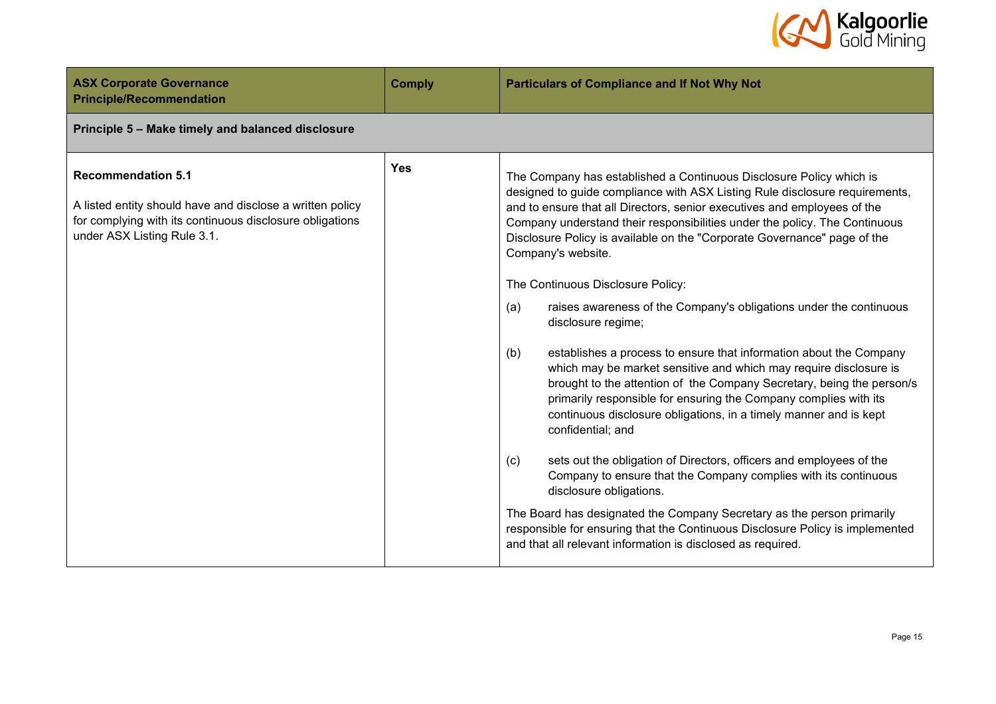

| <b>ASX Corporate Governance</b><br><b>Principle/Recommendation</b>                                                                                                                | <b>Comply</b> | <b>Particulars of Compliance and If Not Why Not</b>                                                                                                                                                                                                                                                                                                                                                                                                                                                                                                                                                                                                                                                                                                                                                                                                                                                                                                                                                                                                                                                                                                                                                                                                                                                                                                   |
|-----------------------------------------------------------------------------------------------------------------------------------------------------------------------------------|---------------|-------------------------------------------------------------------------------------------------------------------------------------------------------------------------------------------------------------------------------------------------------------------------------------------------------------------------------------------------------------------------------------------------------------------------------------------------------------------------------------------------------------------------------------------------------------------------------------------------------------------------------------------------------------------------------------------------------------------------------------------------------------------------------------------------------------------------------------------------------------------------------------------------------------------------------------------------------------------------------------------------------------------------------------------------------------------------------------------------------------------------------------------------------------------------------------------------------------------------------------------------------------------------------------------------------------------------------------------------------|
| Principle 5 - Make timely and balanced disclosure                                                                                                                                 |               |                                                                                                                                                                                                                                                                                                                                                                                                                                                                                                                                                                                                                                                                                                                                                                                                                                                                                                                                                                                                                                                                                                                                                                                                                                                                                                                                                       |
| <b>Recommendation 5.1</b><br>A listed entity should have and disclose a written policy<br>for complying with its continuous disclosure obligations<br>under ASX Listing Rule 3.1. | <b>Yes</b>    | The Company has established a Continuous Disclosure Policy which is<br>designed to guide compliance with ASX Listing Rule disclosure requirements,<br>and to ensure that all Directors, senior executives and employees of the<br>Company understand their responsibilities under the policy. The Continuous<br>Disclosure Policy is available on the "Corporate Governance" page of the<br>Company's website.<br>The Continuous Disclosure Policy:<br>(a)<br>raises awareness of the Company's obligations under the continuous<br>disclosure regime;<br>(b)<br>establishes a process to ensure that information about the Company<br>which may be market sensitive and which may require disclosure is<br>brought to the attention of the Company Secretary, being the person/s<br>primarily responsible for ensuring the Company complies with its<br>continuous disclosure obligations, in a timely manner and is kept<br>confidential; and<br>sets out the obligation of Directors, officers and employees of the<br>(c)<br>Company to ensure that the Company complies with its continuous<br>disclosure obligations.<br>The Board has designated the Company Secretary as the person primarily<br>responsible for ensuring that the Continuous Disclosure Policy is implemented<br>and that all relevant information is disclosed as required. |
|                                                                                                                                                                                   |               |                                                                                                                                                                                                                                                                                                                                                                                                                                                                                                                                                                                                                                                                                                                                                                                                                                                                                                                                                                                                                                                                                                                                                                                                                                                                                                                                                       |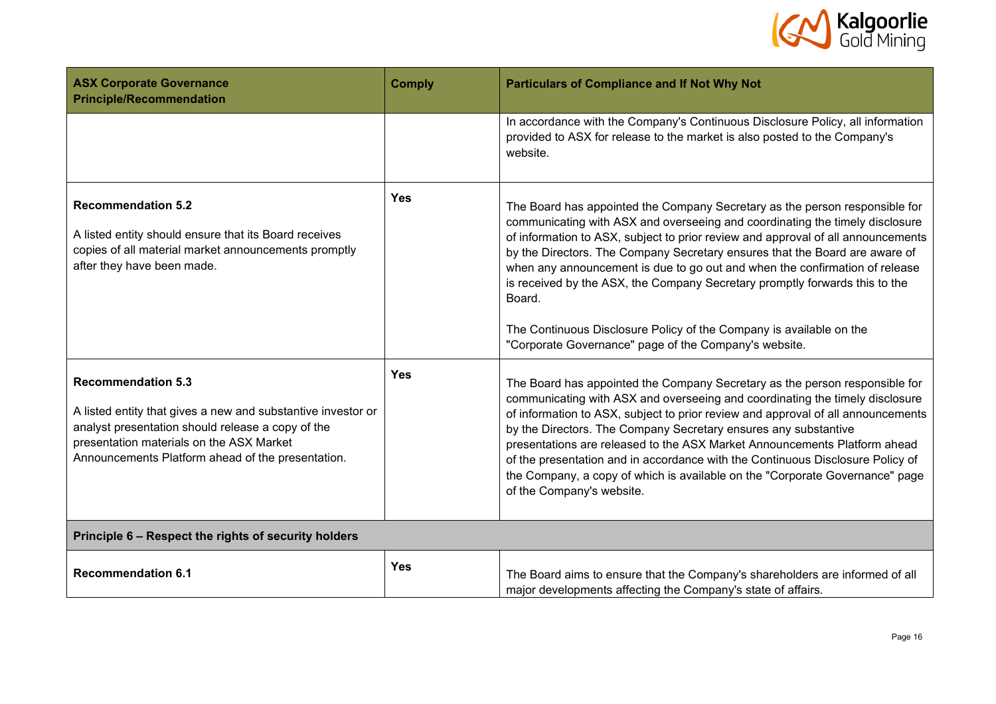

| <b>ASX Corporate Governance</b><br><b>Principle/Recommendation</b>                                                                                                                                                                              | <b>Comply</b> | <b>Particulars of Compliance and If Not Why Not</b>                                                                                                                                                                                                                                                                                                                                                                                                                                                                                                                                                                                    |
|-------------------------------------------------------------------------------------------------------------------------------------------------------------------------------------------------------------------------------------------------|---------------|----------------------------------------------------------------------------------------------------------------------------------------------------------------------------------------------------------------------------------------------------------------------------------------------------------------------------------------------------------------------------------------------------------------------------------------------------------------------------------------------------------------------------------------------------------------------------------------------------------------------------------------|
|                                                                                                                                                                                                                                                 |               | In accordance with the Company's Continuous Disclosure Policy, all information<br>provided to ASX for release to the market is also posted to the Company's<br>website.                                                                                                                                                                                                                                                                                                                                                                                                                                                                |
| <b>Recommendation 5.2</b><br>A listed entity should ensure that its Board receives<br>copies of all material market announcements promptly<br>after they have been made.                                                                        | <b>Yes</b>    | The Board has appointed the Company Secretary as the person responsible for<br>communicating with ASX and overseeing and coordinating the timely disclosure<br>of information to ASX, subject to prior review and approval of all announcements<br>by the Directors. The Company Secretary ensures that the Board are aware of<br>when any announcement is due to go out and when the confirmation of release<br>is received by the ASX, the Company Secretary promptly forwards this to the<br>Board.<br>The Continuous Disclosure Policy of the Company is available on the<br>"Corporate Governance" page of the Company's website. |
| <b>Recommendation 5.3</b><br>A listed entity that gives a new and substantive investor or<br>analyst presentation should release a copy of the<br>presentation materials on the ASX Market<br>Announcements Platform ahead of the presentation. | <b>Yes</b>    | The Board has appointed the Company Secretary as the person responsible for<br>communicating with ASX and overseeing and coordinating the timely disclosure<br>of information to ASX, subject to prior review and approval of all announcements<br>by the Directors. The Company Secretary ensures any substantive<br>presentations are released to the ASX Market Announcements Platform ahead<br>of the presentation and in accordance with the Continuous Disclosure Policy of<br>the Company, a copy of which is available on the "Corporate Governance" page<br>of the Company's website.                                         |
| Principle 6 - Respect the rights of security holders                                                                                                                                                                                            |               |                                                                                                                                                                                                                                                                                                                                                                                                                                                                                                                                                                                                                                        |
| <b>Recommendation 6.1</b>                                                                                                                                                                                                                       | <b>Yes</b>    | The Board aims to ensure that the Company's shareholders are informed of all<br>major developments affecting the Company's state of affairs.                                                                                                                                                                                                                                                                                                                                                                                                                                                                                           |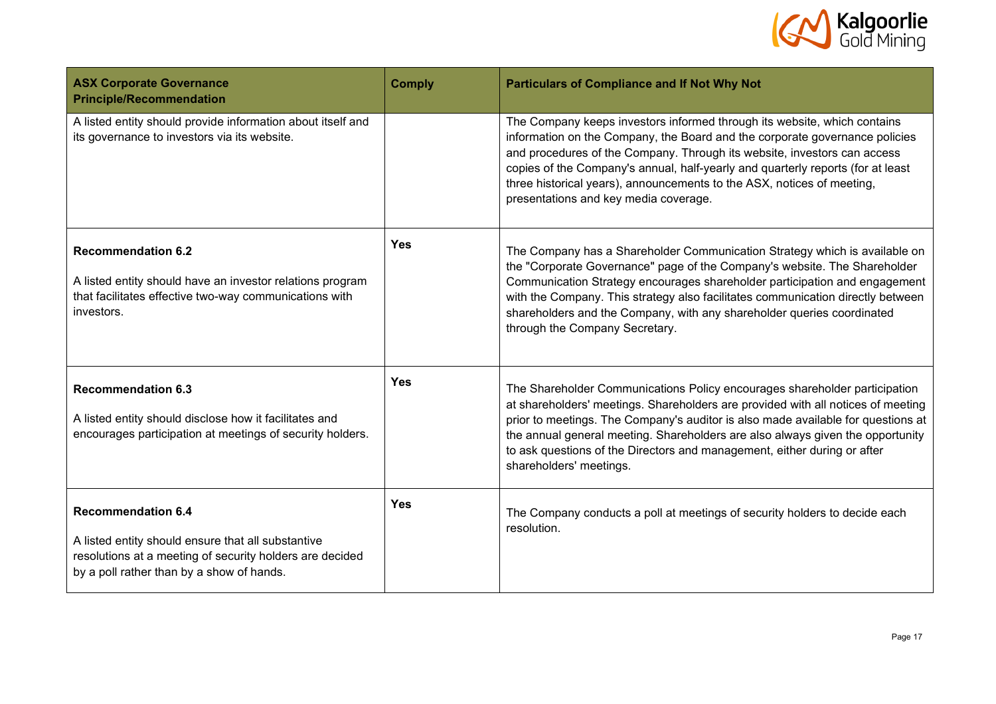

| <b>ASX Corporate Governance</b><br><b>Principle/Recommendation</b>                                                                                                                       | <b>Comply</b> | <b>Particulars of Compliance and If Not Why Not</b>                                                                                                                                                                                                                                                                                                                                                                                         |
|------------------------------------------------------------------------------------------------------------------------------------------------------------------------------------------|---------------|---------------------------------------------------------------------------------------------------------------------------------------------------------------------------------------------------------------------------------------------------------------------------------------------------------------------------------------------------------------------------------------------------------------------------------------------|
| A listed entity should provide information about itself and<br>its governance to investors via its website.                                                                              |               | The Company keeps investors informed through its website, which contains<br>information on the Company, the Board and the corporate governance policies<br>and procedures of the Company. Through its website, investors can access<br>copies of the Company's annual, half-yearly and quarterly reports (for at least<br>three historical years), announcements to the ASX, notices of meeting,<br>presentations and key media coverage.   |
| <b>Recommendation 6.2</b><br>A listed entity should have an investor relations program<br>that facilitates effective two-way communications with<br>investors.                           | <b>Yes</b>    | The Company has a Shareholder Communication Strategy which is available on<br>the "Corporate Governance" page of the Company's website. The Shareholder<br>Communication Strategy encourages shareholder participation and engagement<br>with the Company. This strategy also facilitates communication directly between<br>shareholders and the Company, with any shareholder queries coordinated<br>through the Company Secretary.        |
| <b>Recommendation 6.3</b><br>A listed entity should disclose how it facilitates and<br>encourages participation at meetings of security holders.                                         | <b>Yes</b>    | The Shareholder Communications Policy encourages shareholder participation<br>at shareholders' meetings. Shareholders are provided with all notices of meeting<br>prior to meetings. The Company's auditor is also made available for questions at<br>the annual general meeting. Shareholders are also always given the opportunity<br>to ask questions of the Directors and management, either during or after<br>shareholders' meetings. |
| <b>Recommendation 6.4</b><br>A listed entity should ensure that all substantive<br>resolutions at a meeting of security holders are decided<br>by a poll rather than by a show of hands. | <b>Yes</b>    | The Company conducts a poll at meetings of security holders to decide each<br>resolution.                                                                                                                                                                                                                                                                                                                                                   |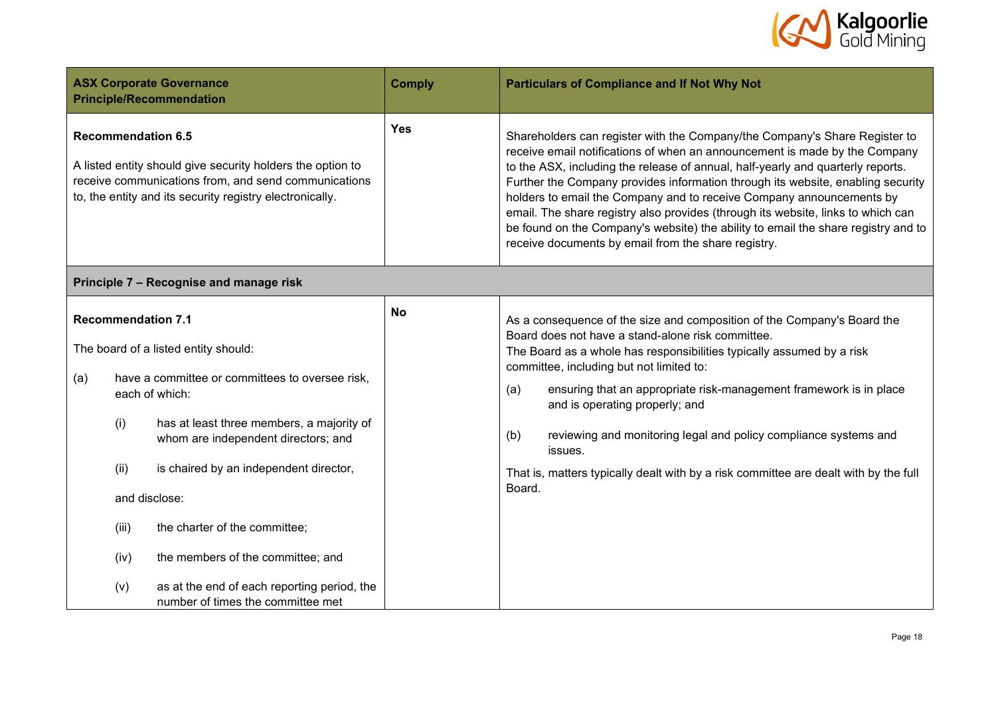

| <b>ASX Corporate Governance</b><br><b>Principle/Recommendation</b>                                                                                                                                                                                                                                                                                                                                                                                                                            |                                                                                                                                                                                | <b>Comply</b> | <b>Particulars of Compliance and If Not Why Not</b>                                                                                                                                                                                                                                                                                                                                                                                                                                                                                                                                                                                    |
|-----------------------------------------------------------------------------------------------------------------------------------------------------------------------------------------------------------------------------------------------------------------------------------------------------------------------------------------------------------------------------------------------------------------------------------------------------------------------------------------------|--------------------------------------------------------------------------------------------------------------------------------------------------------------------------------|---------------|----------------------------------------------------------------------------------------------------------------------------------------------------------------------------------------------------------------------------------------------------------------------------------------------------------------------------------------------------------------------------------------------------------------------------------------------------------------------------------------------------------------------------------------------------------------------------------------------------------------------------------------|
| <b>Recommendation 6.5</b>                                                                                                                                                                                                                                                                                                                                                                                                                                                                     | A listed entity should give security holders the option to<br>receive communications from, and send communications<br>to, the entity and its security registry electronically. | <b>Yes</b>    | Shareholders can register with the Company/the Company's Share Register to<br>receive email notifications of when an announcement is made by the Company<br>to the ASX, including the release of annual, half-yearly and quarterly reports.<br>Further the Company provides information through its website, enabling security<br>holders to email the Company and to receive Company announcements by<br>email. The share registry also provides (through its website, links to which can<br>be found on the Company's website) the ability to email the share registry and to<br>receive documents by email from the share registry. |
|                                                                                                                                                                                                                                                                                                                                                                                                                                                                                               | Principle 7 - Recognise and manage risk                                                                                                                                        |               |                                                                                                                                                                                                                                                                                                                                                                                                                                                                                                                                                                                                                                        |
| <b>Recommendation 7.1</b><br>The board of a listed entity should:<br>have a committee or committees to oversee risk,<br>(a)<br>each of which:<br>(i)<br>has at least three members, a majority of<br>whom are independent directors; and<br>(ii)<br>is chaired by an independent director,<br>and disclose:<br>the charter of the committee;<br>(iii)<br>the members of the committee; and<br>(iv)<br>as at the end of each reporting period, the<br>(v)<br>number of times the committee met |                                                                                                                                                                                | <b>No</b>     | As a consequence of the size and composition of the Company's Board the<br>Board does not have a stand-alone risk committee.<br>The Board as a whole has responsibilities typically assumed by a risk<br>committee, including but not limited to:<br>ensuring that an appropriate risk-management framework is in place<br>(a)<br>and is operating properly; and<br>(b)<br>reviewing and monitoring legal and policy compliance systems and<br>issues.<br>That is, matters typically dealt with by a risk committee are dealt with by the full<br>Board.                                                                               |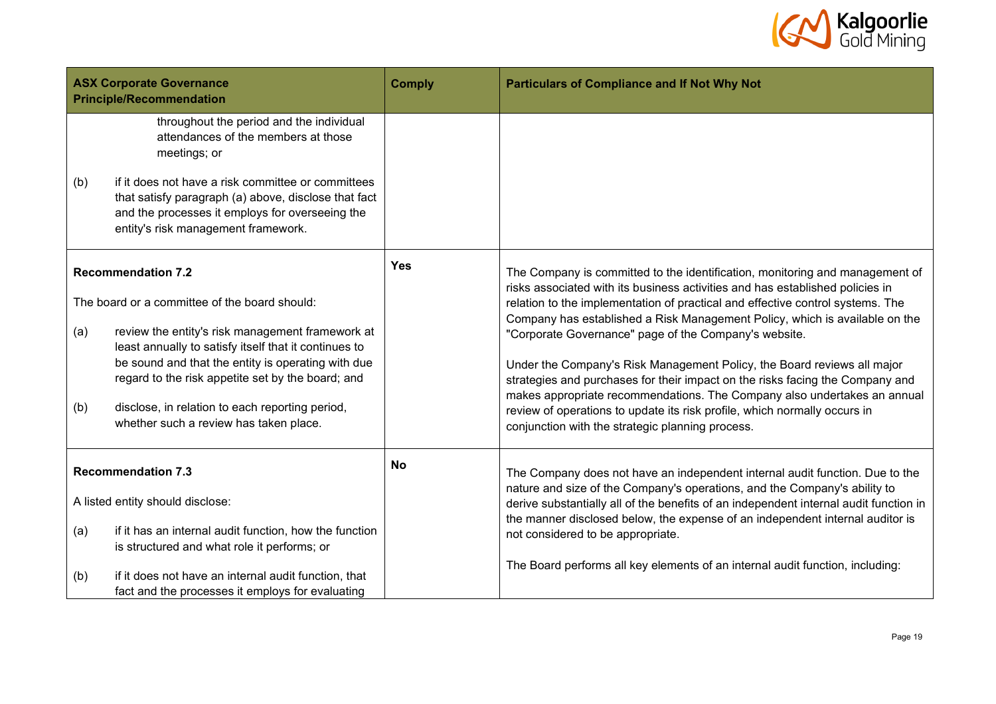

| <b>ASX Corporate Governance</b><br><b>Principle/Recommendation</b> |                                                                                                                                                                                                                                                                                                         | <b>Comply</b> | <b>Particulars of Compliance and If Not Why Not</b>                                                                                                                                                                                  |
|--------------------------------------------------------------------|---------------------------------------------------------------------------------------------------------------------------------------------------------------------------------------------------------------------------------------------------------------------------------------------------------|---------------|--------------------------------------------------------------------------------------------------------------------------------------------------------------------------------------------------------------------------------------|
| (b)                                                                | throughout the period and the individual<br>attendances of the members at those<br>meetings; or<br>if it does not have a risk committee or committees<br>that satisfy paragraph (a) above, disclose that fact<br>and the processes it employs for overseeing the<br>entity's risk management framework. |               |                                                                                                                                                                                                                                      |
|                                                                    | <b>Recommendation 7.2</b>                                                                                                                                                                                                                                                                               | <b>Yes</b>    | The Company is committed to the identification, monitoring and management of<br>risks associated with its business activities and has established policies in                                                                        |
|                                                                    | The board or a committee of the board should:                                                                                                                                                                                                                                                           |               | relation to the implementation of practical and effective control systems. The<br>Company has established a Risk Management Policy, which is available on the                                                                        |
| (a)                                                                | review the entity's risk management framework at<br>least annually to satisfy itself that it continues to<br>be sound and that the entity is operating with due                                                                                                                                         |               | "Corporate Governance" page of the Company's website.                                                                                                                                                                                |
|                                                                    | regard to the risk appetite set by the board; and                                                                                                                                                                                                                                                       |               | Under the Company's Risk Management Policy, the Board reviews all major<br>strategies and purchases for their impact on the risks facing the Company and<br>makes appropriate recommendations. The Company also undertakes an annual |
| (b)                                                                | disclose, in relation to each reporting period,<br>whether such a review has taken place.                                                                                                                                                                                                               |               | review of operations to update its risk profile, which normally occurs in<br>conjunction with the strategic planning process.                                                                                                        |
|                                                                    | <b>Recommendation 7.3</b>                                                                                                                                                                                                                                                                               | <b>No</b>     | The Company does not have an independent internal audit function. Due to the<br>nature and size of the Company's operations, and the Company's ability to                                                                            |
|                                                                    | A listed entity should disclose:                                                                                                                                                                                                                                                                        |               | derive substantially all of the benefits of an independent internal audit function in                                                                                                                                                |
| (a)                                                                | if it has an internal audit function, how the function<br>is structured and what role it performs; or                                                                                                                                                                                                   |               | the manner disclosed below, the expense of an independent internal auditor is<br>not considered to be appropriate.                                                                                                                   |
| (b)                                                                | if it does not have an internal audit function, that<br>fact and the processes it employs for evaluating                                                                                                                                                                                                |               | The Board performs all key elements of an internal audit function, including:                                                                                                                                                        |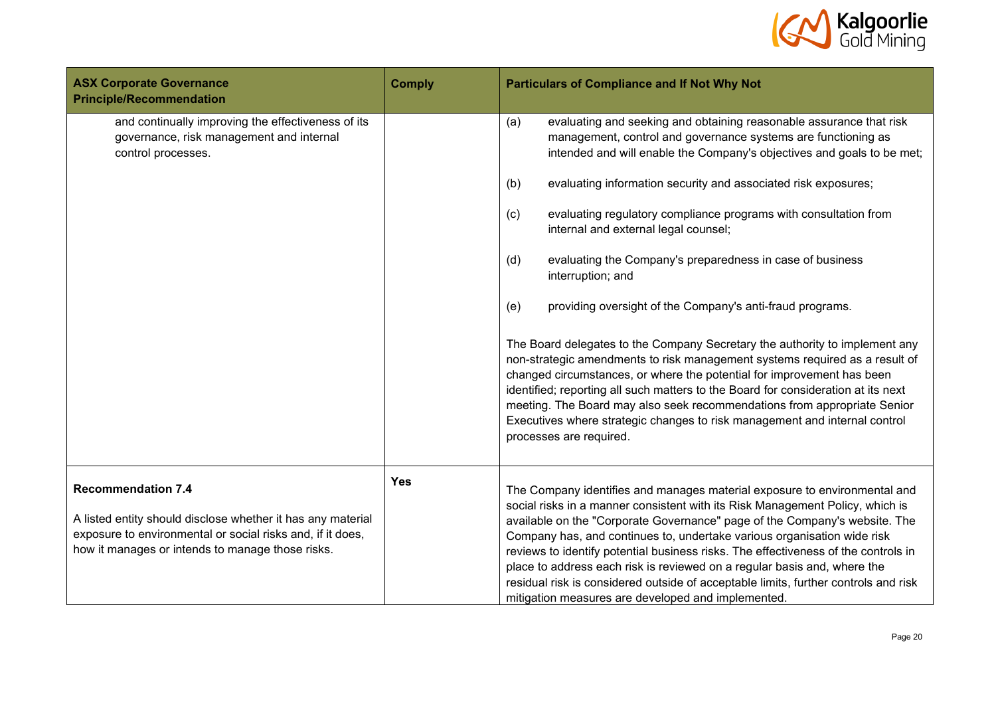

| <b>ASX Corporate Governance</b><br><b>Principle/Recommendation</b>                                                                                                                                         | <b>Comply</b> | <b>Particulars of Compliance and If Not Why Not</b>                                                                                                                                                                                                                                                                                                                                                                                                                                                                                                                                                                                |
|------------------------------------------------------------------------------------------------------------------------------------------------------------------------------------------------------------|---------------|------------------------------------------------------------------------------------------------------------------------------------------------------------------------------------------------------------------------------------------------------------------------------------------------------------------------------------------------------------------------------------------------------------------------------------------------------------------------------------------------------------------------------------------------------------------------------------------------------------------------------------|
| and continually improving the effectiveness of its<br>governance, risk management and internal<br>control processes.                                                                                       |               | (a)<br>evaluating and seeking and obtaining reasonable assurance that risk<br>management, control and governance systems are functioning as<br>intended and will enable the Company's objectives and goals to be met;                                                                                                                                                                                                                                                                                                                                                                                                              |
|                                                                                                                                                                                                            |               | evaluating information security and associated risk exposures;<br>(b)                                                                                                                                                                                                                                                                                                                                                                                                                                                                                                                                                              |
|                                                                                                                                                                                                            |               | evaluating regulatory compliance programs with consultation from<br>(c)<br>internal and external legal counsel;                                                                                                                                                                                                                                                                                                                                                                                                                                                                                                                    |
|                                                                                                                                                                                                            |               | evaluating the Company's preparedness in case of business<br>(d)<br>interruption; and                                                                                                                                                                                                                                                                                                                                                                                                                                                                                                                                              |
|                                                                                                                                                                                                            |               | providing oversight of the Company's anti-fraud programs.<br>(e)                                                                                                                                                                                                                                                                                                                                                                                                                                                                                                                                                                   |
|                                                                                                                                                                                                            |               | The Board delegates to the Company Secretary the authority to implement any<br>non-strategic amendments to risk management systems required as a result of<br>changed circumstances, or where the potential for improvement has been<br>identified; reporting all such matters to the Board for consideration at its next<br>meeting. The Board may also seek recommendations from appropriate Senior<br>Executives where strategic changes to risk management and internal control<br>processes are required.                                                                                                                     |
| <b>Recommendation 7.4</b><br>A listed entity should disclose whether it has any material<br>exposure to environmental or social risks and, if it does,<br>how it manages or intends to manage those risks. | <b>Yes</b>    | The Company identifies and manages material exposure to environmental and<br>social risks in a manner consistent with its Risk Management Policy, which is<br>available on the "Corporate Governance" page of the Company's website. The<br>Company has, and continues to, undertake various organisation wide risk<br>reviews to identify potential business risks. The effectiveness of the controls in<br>place to address each risk is reviewed on a regular basis and, where the<br>residual risk is considered outside of acceptable limits, further controls and risk<br>mitigation measures are developed and implemented. |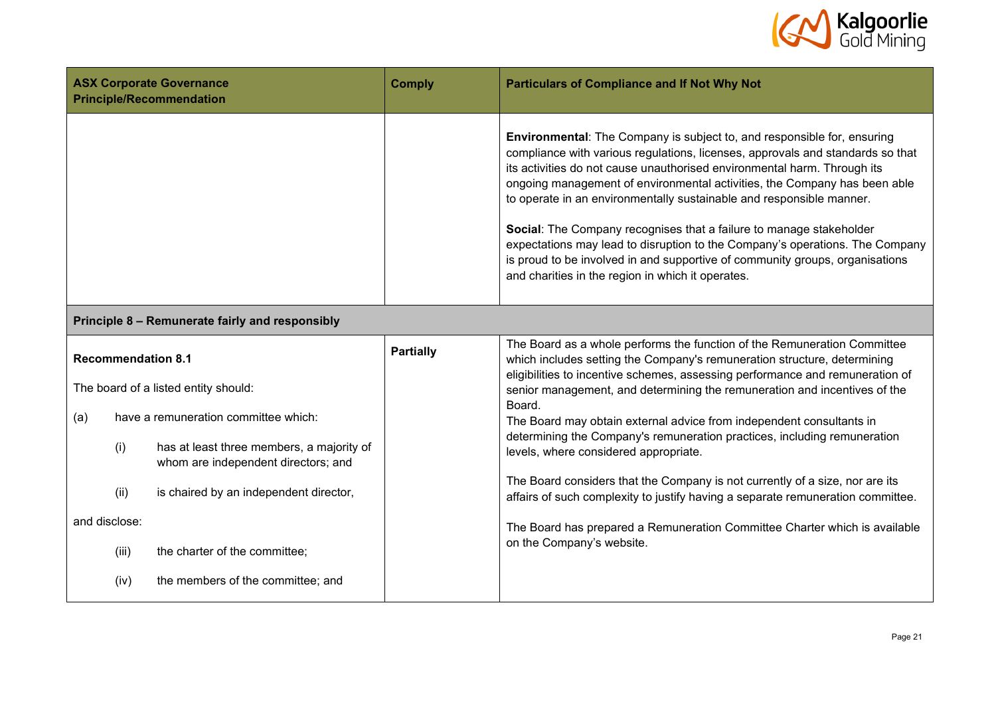

| <b>ASX Corporate Governance</b><br><b>Principle/Recommendation</b> | <b>Comply</b> | <b>Particulars of Compliance and If Not Why Not</b>                                                                                                                                                                                                                                                                                                                                                                                                                                                                                                                                                                                                                                           |
|--------------------------------------------------------------------|---------------|-----------------------------------------------------------------------------------------------------------------------------------------------------------------------------------------------------------------------------------------------------------------------------------------------------------------------------------------------------------------------------------------------------------------------------------------------------------------------------------------------------------------------------------------------------------------------------------------------------------------------------------------------------------------------------------------------|
|                                                                    |               | <b>Environmental:</b> The Company is subject to, and responsible for, ensuring<br>compliance with various regulations, licenses, approvals and standards so that<br>its activities do not cause unauthorised environmental harm. Through its<br>ongoing management of environmental activities, the Company has been able<br>to operate in an environmentally sustainable and responsible manner.<br>Social: The Company recognises that a failure to manage stakeholder<br>expectations may lead to disruption to the Company's operations. The Company<br>is proud to be involved in and supportive of community groups, organisations<br>and charities in the region in which it operates. |

## **Principle 8 – Remunerate fairly and responsibly**

|     |               | <b>Recommendation 8.1</b>                                                        | <b>Partially</b> | The Board as a whole performs the function of the Remuneration Committee<br>which includes setting the Company's remuneration structure, determining                 |
|-----|---------------|----------------------------------------------------------------------------------|------------------|----------------------------------------------------------------------------------------------------------------------------------------------------------------------|
|     |               | The board of a listed entity should:                                             |                  | eligibilities to incentive schemes, assessing performance and remuneration of<br>senior management, and determining the remuneration and incentives of the<br>Board. |
| (a) |               | have a remuneration committee which:                                             |                  | The Board may obtain external advice from independent consultants in                                                                                                 |
|     | (i)           | has at least three members, a majority of<br>whom are independent directors; and |                  | determining the Company's remuneration practices, including remuneration<br>levels, where considered appropriate.                                                    |
|     | (ii)          | is chaired by an independent director,                                           |                  | The Board considers that the Company is not currently of a size, nor are its<br>affairs of such complexity to justify having a separate remuneration committee.      |
|     | and disclose: |                                                                                  |                  | The Board has prepared a Remuneration Committee Charter which is available                                                                                           |
|     | (iii)         | the charter of the committee;                                                    |                  | on the Company's website.                                                                                                                                            |
|     | (iv)          | the members of the committee; and                                                |                  |                                                                                                                                                                      |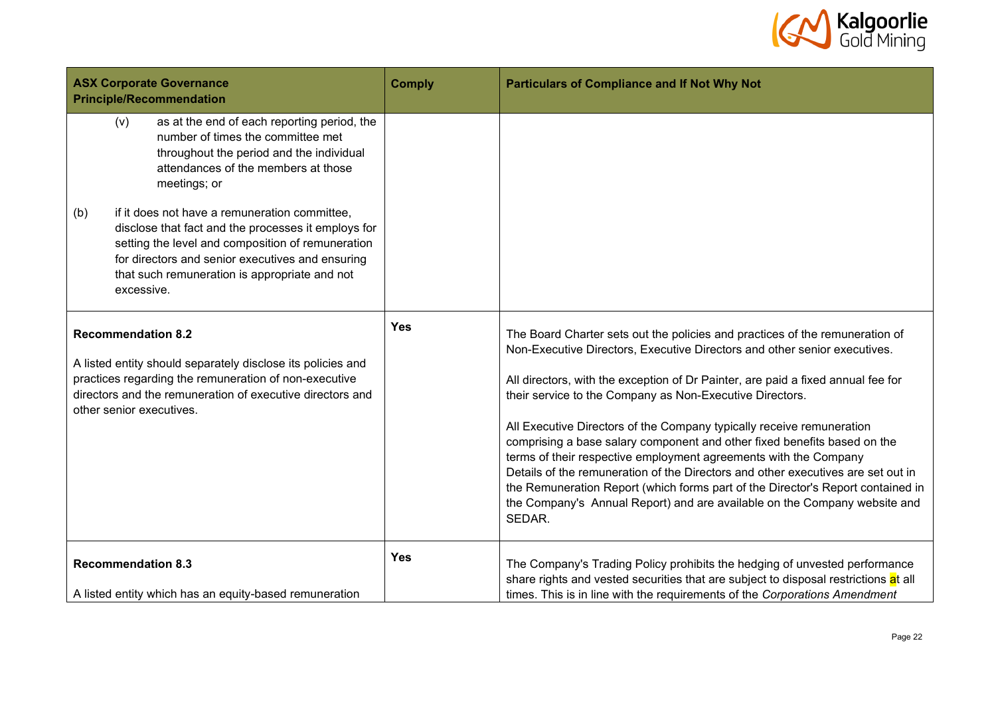

| <b>ASX Corporate Governance</b><br><b>Principle/Recommendation</b>                                                                                                                                                                         |                                                                                                                                                                                                                                                                                                                                                                                                                                                                            | <b>Comply</b> | <b>Particulars of Compliance and If Not Why Not</b>                                                                                                                                                                                                                                                                                                                                                                                                                                                                                                                                                                                                                                                                                                                                              |
|--------------------------------------------------------------------------------------------------------------------------------------------------------------------------------------------------------------------------------------------|----------------------------------------------------------------------------------------------------------------------------------------------------------------------------------------------------------------------------------------------------------------------------------------------------------------------------------------------------------------------------------------------------------------------------------------------------------------------------|---------------|--------------------------------------------------------------------------------------------------------------------------------------------------------------------------------------------------------------------------------------------------------------------------------------------------------------------------------------------------------------------------------------------------------------------------------------------------------------------------------------------------------------------------------------------------------------------------------------------------------------------------------------------------------------------------------------------------------------------------------------------------------------------------------------------------|
| (b)                                                                                                                                                                                                                                        | as at the end of each reporting period, the<br>(v)<br>number of times the committee met<br>throughout the period and the individual<br>attendances of the members at those<br>meetings; or<br>if it does not have a remuneration committee,<br>disclose that fact and the processes it employs for<br>setting the level and composition of remuneration<br>for directors and senior executives and ensuring<br>that such remuneration is appropriate and not<br>excessive. |               |                                                                                                                                                                                                                                                                                                                                                                                                                                                                                                                                                                                                                                                                                                                                                                                                  |
| <b>Recommendation 8.2</b><br>A listed entity should separately disclose its policies and<br>practices regarding the remuneration of non-executive<br>directors and the remuneration of executive directors and<br>other senior executives. |                                                                                                                                                                                                                                                                                                                                                                                                                                                                            | <b>Yes</b>    | The Board Charter sets out the policies and practices of the remuneration of<br>Non-Executive Directors, Executive Directors and other senior executives.<br>All directors, with the exception of Dr Painter, are paid a fixed annual fee for<br>their service to the Company as Non-Executive Directors.<br>All Executive Directors of the Company typically receive remuneration<br>comprising a base salary component and other fixed benefits based on the<br>terms of their respective employment agreements with the Company<br>Details of the remuneration of the Directors and other executives are set out in<br>the Remuneration Report (which forms part of the Director's Report contained in<br>the Company's Annual Report) and are available on the Company website and<br>SEDAR. |
|                                                                                                                                                                                                                                            | <b>Recommendation 8.3</b><br>A listed entity which has an equity-based remuneration                                                                                                                                                                                                                                                                                                                                                                                        | <b>Yes</b>    | The Company's Trading Policy prohibits the hedging of unvested performance<br>share rights and vested securities that are subject to disposal restrictions at all<br>times. This is in line with the requirements of the Corporations Amendment                                                                                                                                                                                                                                                                                                                                                                                                                                                                                                                                                  |